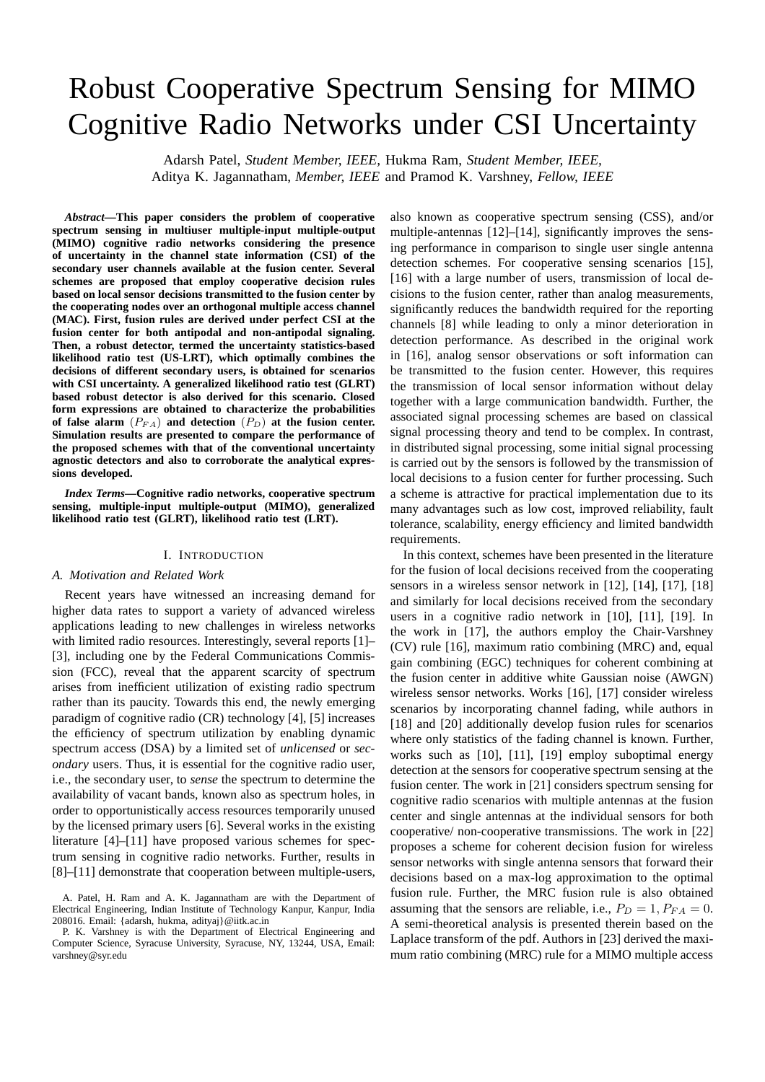# Robust Cooperative Spectrum Sensing for MIMO Cognitive Radio Networks under CSI Uncertainty

Adarsh Patel, *Student Member, IEEE,* Hukma Ram, *Student Member, IEEE,*

Aditya K. Jagannatham, *Member, IEEE* and Pramod K. Varshney, *Fellow, IEEE*

*Abstract***—This paper considers the problem of cooperative spectrum sensing in multiuser multiple-input multiple-output (MIMO) cognitive radio networks considering the presence of uncertainty in the channel state information (CSI) of the secondary user channels available at the fusion center. Several schemes are proposed that employ cooperative decision rules based on local sensor decisions transmitted to the fusion center by the cooperating nodes over an orthogonal multiple access channel (MAC). First, fusion rules are derived under perfect CSI at the fusion center for both antipodal and non-antipodal signaling. Then, a robust detector, termed the uncertainty statistics-based likelihood ratio test (US-LRT), which optimally combines the decisions of different secondary users, is obtained for scenarios with CSI uncertainty. A generalized likelihood ratio test (GLRT) based robust detector is also derived for this scenario. Closed form expressions are obtained to characterize the probabilities** of false alarm  $(P_{FA})$  and detection  $(P_D)$  at the fusion center. **Simulation results are presented to compare the performance of the proposed schemes with that of the conventional uncertainty agnostic detectors and also to corroborate the analytical expressions developed.**

*Index Terms***—Cognitive radio networks, cooperative spectrum sensing, multiple-input multiple-output (MIMO), generalized likelihood ratio test (GLRT), likelihood ratio test (LRT).**

#### I. INTRODUCTION

#### *A. Motivation and Related Work*

Recent years have witnessed an increasing demand for higher data rates to support a variety of advanced wireless applications leading to new challenges in wireless networks with limited radio resources. Interestingly, several reports [1]– [3], including one by the Federal Communications Commission (FCC), reveal that the apparent scarcity of spectrum arises from inefficient utilization of existing radio spectrum rather than its paucity. Towards this end, the newly emerging paradigm of cognitive radio (CR) technology [4], [5] increases the efficiency of spectrum utilization by enabling dynamic spectrum access (DSA) by a limited set of *unlicensed* or *secondary* users. Thus, it is essential for the cognitive radio user, i.e., the secondary user, to *sense* the spectrum to determine the availability of vacant bands, known also as spectrum holes, in order to opportunistically access resources temporarily unused by the licensed primary users [6]. Several works in the existing literature [4]–[11] have proposed various schemes for spectrum sensing in cognitive radio networks. Further, results in [8]–[11] demonstrate that cooperation between multiple-users,

A. Patel, H. Ram and A. K. Jagannatham are with the Department of Electrical Engineering, Indian Institute of Technology Kanpur, Kanpur, India 208016. Email: {adarsh, hukma, adityaj}@iitk.ac.in

P. K. Varshney is with the Department of Electrical Engineering and Computer Science, Syracuse University, Syracuse, NY, 13244, USA, Email: varshney@syr.edu

also known as cooperative spectrum sensing (CSS), and/or multiple-antennas [12]–[14], significantly improves the sensing performance in comparison to single user single antenna detection schemes. For cooperative sensing scenarios [15], [16] with a large number of users, transmission of local decisions to the fusion center, rather than analog measurements, significantly reduces the bandwidth required for the reporting channels [8] while leading to only a minor deterioration in detection performance. As described in the original work in [16], analog sensor observations or soft information can be transmitted to the fusion center. However, this requires the transmission of local sensor information without delay together with a large communication bandwidth. Further, the associated signal processing schemes are based on classical signal processing theory and tend to be complex. In contrast, in distributed signal processing, some initial signal processing is carried out by the sensors is followed by the transmission of local decisions to a fusion center for further processing. Such a scheme is attractive for practical implementation due to its many advantages such as low cost, improved reliability, fault tolerance, scalability, energy efficiency and limited bandwidth requirements.

In this context, schemes have been presented in the literature for the fusion of local decisions received from the cooperating sensors in a wireless sensor network in [12], [14], [17], [18] and similarly for local decisions received from the secondary users in a cognitive radio network in [10], [11], [19]. In the work in [17], the authors employ the Chair-Varshney (CV) rule [16], maximum ratio combining (MRC) and, equal gain combining (EGC) techniques for coherent combining at the fusion center in additive white Gaussian noise (AWGN) wireless sensor networks. Works [16], [17] consider wireless scenarios by incorporating channel fading, while authors in [18] and [20] additionally develop fusion rules for scenarios where only statistics of the fading channel is known. Further, works such as [10], [11], [19] employ suboptimal energy detection at the sensors for cooperative spectrum sensing at the fusion center. The work in [21] considers spectrum sensing for cognitive radio scenarios with multiple antennas at the fusion center and single antennas at the individual sensors for both cooperative/ non-cooperative transmissions. The work in [22] proposes a scheme for coherent decision fusion for wireless sensor networks with single antenna sensors that forward their decisions based on a max-log approximation to the optimal fusion rule. Further, the MRC fusion rule is also obtained assuming that the sensors are reliable, i.e.,  $P_D = 1$ ,  $P_{FA} = 0$ . A semi-theoretical analysis is presented therein based on the Laplace transform of the pdf. Authors in [23] derived the maximum ratio combining (MRC) rule for a MIMO multiple access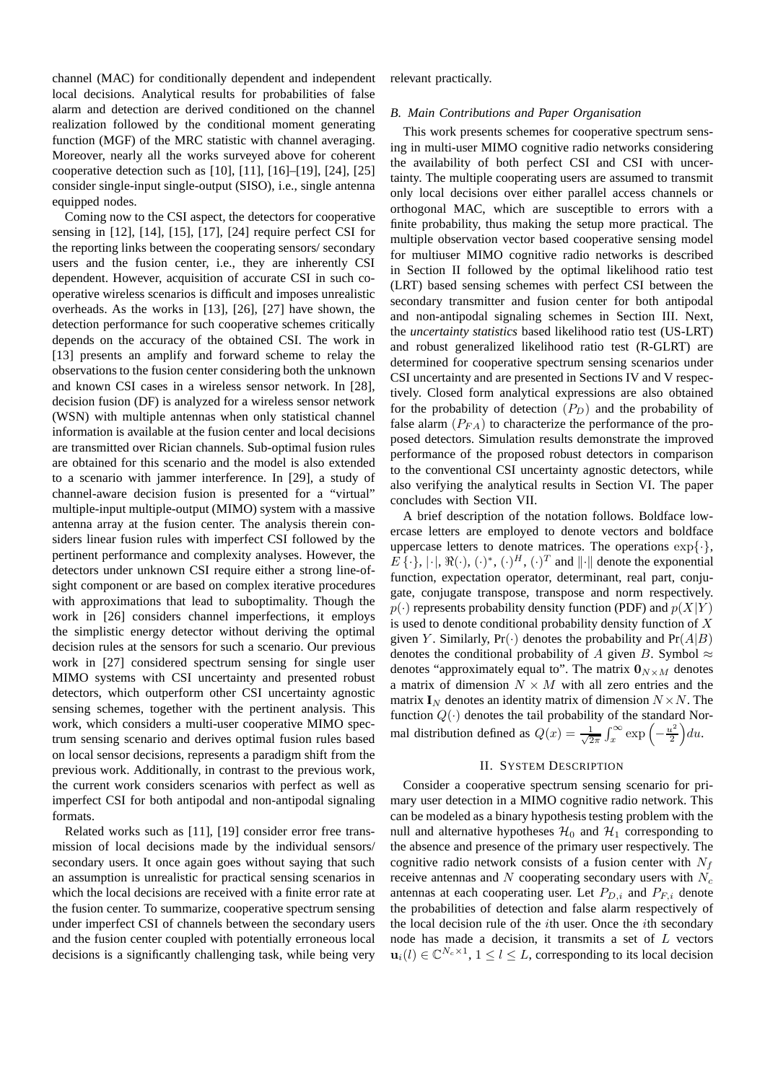channel (MAC) for conditionally dependent and independent local decisions. Analytical results for probabilities of false alarm and detection are derived conditioned on the channel realization followed by the conditional moment generating function (MGF) of the MRC statistic with channel averaging. Moreover, nearly all the works surveyed above for coherent cooperative detection such as [10], [11], [16]–[19], [24], [25] consider single-input single-output (SISO), i.e., single antenna equipped nodes.

Coming now to the CSI aspect, the detectors for cooperative sensing in [12], [14], [15], [17], [24] require perfect CSI for the reporting links between the cooperating sensors/ secondary users and the fusion center, i.e., they are inherently CSI dependent. However, acquisition of accurate CSI in such cooperative wireless scenarios is difficult and imposes unrealistic overheads. As the works in [13], [26], [27] have shown, the detection performance for such cooperative schemes critically depends on the accuracy of the obtained CSI. The work in [13] presents an amplify and forward scheme to relay the observations to the fusion center considering both the unknown and known CSI cases in a wireless sensor network. In [28], decision fusion (DF) is analyzed for a wireless sensor network (WSN) with multiple antennas when only statistical channel information is available at the fusion center and local decisions are transmitted over Rician channels. Sub-optimal fusion rules are obtained for this scenario and the model is also extended to a scenario with jammer interference. In [29], a study of channel-aware decision fusion is presented for a "virtual" multiple-input multiple-output (MIMO) system with a massive antenna array at the fusion center. The analysis therein considers linear fusion rules with imperfect CSI followed by the pertinent performance and complexity analyses. However, the detectors under unknown CSI require either a strong line-ofsight component or are based on complex iterative procedures with approximations that lead to suboptimality. Though the work in [26] considers channel imperfections, it employs the simplistic energy detector without deriving the optimal decision rules at the sensors for such a scenario. Our previous work in [27] considered spectrum sensing for single user MIMO systems with CSI uncertainty and presented robust detectors, which outperform other CSI uncertainty agnostic sensing schemes, together with the pertinent analysis. This work, which considers a multi-user cooperative MIMO spectrum sensing scenario and derives optimal fusion rules based on local sensor decisions, represents a paradigm shift from the previous work. Additionally, in contrast to the previous work, the current work considers scenarios with perfect as well as imperfect CSI for both antipodal and non-antipodal signaling formats.

Related works such as [11], [19] consider error free transmission of local decisions made by the individual sensors/ secondary users. It once again goes without saying that such an assumption is unrealistic for practical sensing scenarios in which the local decisions are received with a finite error rate at the fusion center. To summarize, cooperative spectrum sensing under imperfect CSI of channels between the secondary users and the fusion center coupled with potentially erroneous local decisions is a significantly challenging task, while being very relevant practically.

#### *B. Main Contributions and Paper Organisation*

This work presents schemes for cooperative spectrum sensing in multi-user MIMO cognitive radio networks considering the availability of both perfect CSI and CSI with uncertainty. The multiple cooperating users are assumed to transmit only local decisions over either parallel access channels or orthogonal MAC, which are susceptible to errors with a finite probability, thus making the setup more practical. The multiple observation vector based cooperative sensing model for multiuser MIMO cognitive radio networks is described in Section II followed by the optimal likelihood ratio test (LRT) based sensing schemes with perfect CSI between the secondary transmitter and fusion center for both antipodal and non-antipodal signaling schemes in Section III. Next, the *uncertainty statistics* based likelihood ratio test (US-LRT) and robust generalized likelihood ratio test (R-GLRT) are determined for cooperative spectrum sensing scenarios under CSI uncertainty and are presented in Sections IV and V respectively. Closed form analytical expressions are also obtained for the probability of detection  $(P_D)$  and the probability of false alarm  $(P_{FA})$  to characterize the performance of the proposed detectors. Simulation results demonstrate the improved performance of the proposed robust detectors in comparison to the conventional CSI uncertainty agnostic detectors, while also verifying the analytical results in Section VI. The paper concludes with Section VII.

A brief description of the notation follows. Boldface lowercase letters are employed to denote vectors and boldface uppercase letters to denote matrices. The operations  $\exp\{\cdot\},$  $E\{\cdot\}, |\cdot|, \Re(\cdot), (\cdot)^*, (\cdot)^H, (\cdot)^T$  and  $||\cdot||$  denote the exponential function, expectation operator, determinant, real part, conjugate, conjugate transpose, transpose and norm respectively.  $p(\cdot)$  represents probability density function (PDF) and  $p(X|Y)$ is used to denote conditional probability density function of  $X$ given Y. Similarly,  $Pr(\cdot)$  denotes the probability and  $Pr(A|B)$ denotes the conditional probability of A given B. Symbol  $\approx$ denotes "approximately equal to". The matrix  $\mathbf{0}_{N\times M}$  denotes a matrix of dimension  $N \times M$  with all zero entries and the matrix  $I_N$  denotes an identity matrix of dimension  $N \times N$ . The function  $Q(\cdot)$  denotes the tail probability of the standard Normal distribution defined as  $Q(x) = \frac{1}{\sqrt{2}}$  $\frac{1}{2\pi} \int_x^\infty \exp\left(-\frac{u^2}{2}\right)$  $\frac{u^2}{2}\Big) du.$ 

#### II. SYSTEM DESCRIPTION

Consider a cooperative spectrum sensing scenario for primary user detection in a MIMO cognitive radio network. This can be modeled as a binary hypothesis testing problem with the null and alternative hypotheses  $\mathcal{H}_0$  and  $\mathcal{H}_1$  corresponding to the absence and presence of the primary user respectively. The cognitive radio network consists of a fusion center with  $N_f$ receive antennas and  $N$  cooperating secondary users with  $N_c$ antennas at each cooperating user. Let  $P_{D,i}$  and  $P_{F,i}$  denote the probabilities of detection and false alarm respectively of the local decision rule of the  $i$ th user. Once the  $i$ th secondary node has made a decision, it transmits a set of L vectors  $\mathbf{u}_i(l) \in \mathbb{C}^{N_c \times 1}$ ,  $1 \leq l \leq L$ , corresponding to its local decision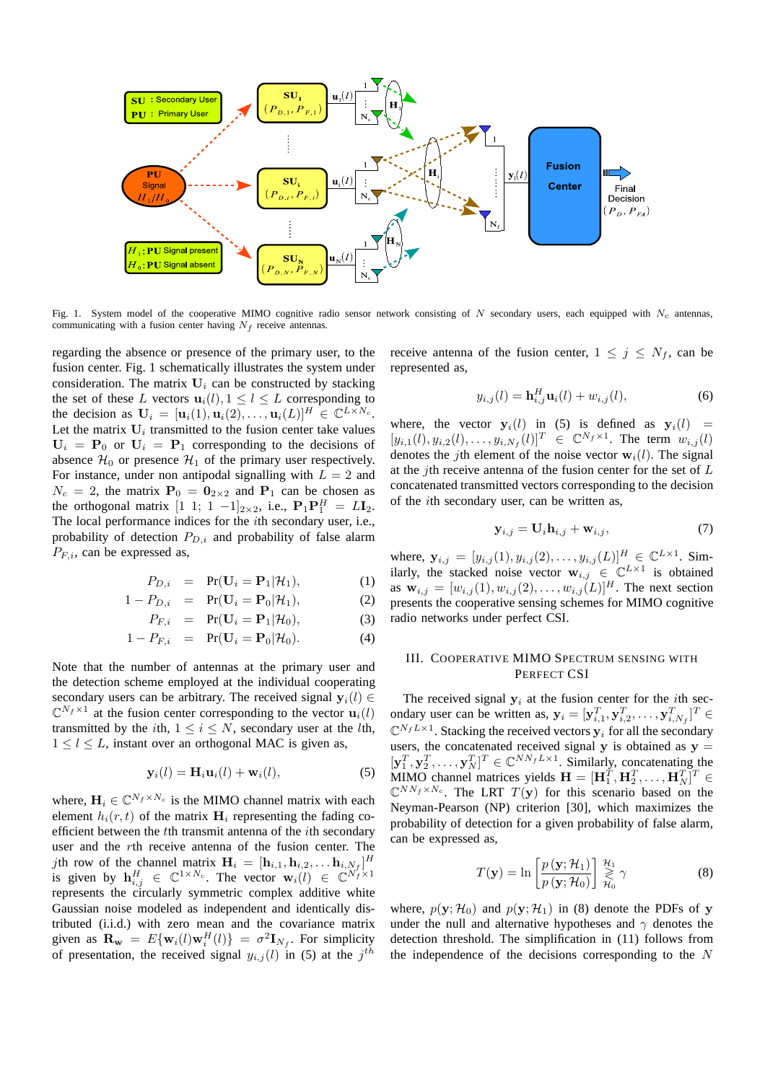

Fig. 1. System model of the cooperative MIMO cognitive radio sensor network consisting of N secondary users, each equipped with  $N_c$  antennas, communicating with a fusion center having  $N_f$  receive antennas.

regarding the absence or presence of the primary user, to the fusion center. Fig. 1 schematically illustrates the system under consideration. The matrix  $U_i$  can be constructed by stacking the set of these L vectors  $\mathbf{u}_i(l), 1 \leq l \leq L$  corresponding to the decision as  $\mathbf{U}_i = [\mathbf{u}_i(1), \mathbf{u}_i(2), \dots, \mathbf{u}_i(L)]^H \in \mathbb{C}^{L \times N_c}$ . Let the matrix  $U_i$  transmitted to the fusion center take values  $U_i = P_0$  or  $U_i = P_1$  corresponding to the decisions of absence  $\mathcal{H}_0$  or presence  $\mathcal{H}_1$  of the primary user respectively. For instance, under non antipodal signalling with  $L = 2$  and  $N_c = 2$ , the matrix  $P_0 = 0_{2 \times 2}$  and  $P_1$  can be chosen as the orthogonal matrix  $[1 \ 1; 1 \ -1]_{2\times 2}$ , i.e.,  $P_1P_1^H = LI_2$ . The local performance indices for the ith secondary user, i.e., probability of detection  $P_{D,i}$  and probability of false alarm  $P_{F,i}$ , can be expressed as,

$$
P_{D,i} = \Pr(\mathbf{U}_i = \mathbf{P}_1 | \mathcal{H}_1), \tag{1}
$$

$$
1 - P_{D,i} = \Pr(\mathbf{U}_i = \mathbf{P}_0 | \mathcal{H}_1), \tag{2}
$$

$$
P_{F,i} = \Pr(\mathbf{U}_i = \mathbf{P}_1 | \mathcal{H}_0), \tag{3}
$$

$$
1 - P_{F,i} = \Pr(\mathbf{U}_i = \mathbf{P}_0 | \mathcal{H}_0).
$$
 (4)

Note that the number of antennas at the primary user and the detection scheme employed at the individual cooperating secondary users can be arbitrary. The received signal  $y_i(l) \in$  $\mathbb{C}^{N_f \times 1}$  at the fusion center corresponding to the vector  $\mathbf{u}_i(l)$ transmitted by the *i*th,  $1 \le i \le N$ , secondary user at the *l*th.  $1 \leq l \leq L$ , instant over an orthogonal MAC is given as,

$$
\mathbf{y}_i(l) = \mathbf{H}_i \mathbf{u}_i(l) + \mathbf{w}_i(l), \tag{5}
$$

where,  $\mathbf{H}_i \in \mathbb{C}^{N_f \times N_c}$  is the MIMO channel matrix with each element  $h_i(r, t)$  of the matrix  $H_i$  representing the fading coefficient between the tth transmit antenna of the ith secondary user and the rth receive antenna of the fusion center. The *j*th row of the channel matrix  $\mathbf{H}_i = [\mathbf{h}_{i,1}, \mathbf{h}_{i,2}, \dots \mathbf{h}_{i,N_f}]^H$ is given by  $\mathbf{h}_{i,j}^H \in \mathbb{C}^{1 \times N_c}$ . The vector  $\mathbf{w}_i(l) \in \mathbb{C}^{N_f \times 1}$ represents the circularly symmetric complex additive white Gaussian noise modeled as independent and identically distributed (i.i.d.) with zero mean and the covariance matrix given as  $\mathbf{R}_{\mathbf{w}} = E\{\mathbf{w}_i(l)\mathbf{w}_i^H(l)\} = \sigma^2 \mathbf{I}_{N_f}$ . For simplicity of presentation, the received signal  $y_{i,j}(l)$  in (5) at the  $j^{th}$ 

receive antenna of the fusion center,  $1 \leq j \leq N_f$ , can be represented as,

$$
y_{i,j}(l) = \mathbf{h}_{i,j}^H \mathbf{u}_i(l) + w_{i,j}(l),
$$
 (6)

where, the vector  $y_i(l)$  in (5) is defined as  $y_i(l)$  =  $[y_{i,1}(l), y_{i,2}(l), \ldots, y_{i,N_f}(l)]^T \in \mathbb{C}^{N_f \times 1}$ . The term  $w_{i,j}(l)$ denotes the *j*th element of the noise vector  $w_i(l)$ . The signal at the *j*th receive antenna of the fusion center for the set of  $L$ concatenated transmitted vectors corresponding to the decision of the ith secondary user, can be written as,

$$
\mathbf{y}_{i,j} = \mathbf{U}_i \mathbf{h}_{i,j} + \mathbf{w}_{i,j},\tag{7}
$$

where,  $y_{i,j} = [y_{i,j}(1), y_{i,j}(2), \dots, y_{i,j}(L)]_{\substack{H \\ \sim L \times 1}}^H \in \mathbb{C}^{L \times 1}$ . Similarly, the stacked noise vector  $\mathbf{w}_{i,j} \in \mathbb{C}^{L \times 1}$  is obtained as  $\mathbf{w}_{i,j} = [w_{i,j}(1), w_{i,j}(2), \dots, w_{i,j}(L)]^H$ . The next section presents the cooperative sensing schemes for MIMO cognitive radio networks under perfect CSI.

#### III. COOPERATIVE MIMO SPECTRUM SENSING WITH PERFECT CSI

The received signal  $y_i$  at the fusion center for the *i*th secondary user can be written as,  $\mathbf{y}_i = [\mathbf{y}_{i,1}^T, \mathbf{y}_{i,2}^T, \dots, \mathbf{y}_{i,N_f}^T]^T \in$  $\mathbb{C}^{N_fL\times 1}$ . Stacking the received vectors  $y_i$  for all the secondary users, the concatenated received signal  $y$  is obtained as  $y =$  $[\mathbf{y}_1^T, \mathbf{y}_2^T, \dots, \mathbf{y}_N^T]^T \in \mathbb{C}^{NN_fL \times 1}$ . Similarly, concatenating the MIMO channel matrices yields  $\mathbf{H} = [\mathbf{H}_1^T, \mathbf{H}_2^T, \dots, \mathbf{H}_N^T]^T \in$  $\mathbb{C}^{NN_f \times N_c}$ . The LRT  $T(\mathbf{y})$  for this scenario based on the Neyman-Pearson (NP) criterion [30], which maximizes the probability of detection for a given probability of false alarm, can be expressed as,

$$
T(\mathbf{y}) = \ln \left[ \frac{p(\mathbf{y}; \mathcal{H}_1)}{p(\mathbf{y}; \mathcal{H}_0)} \right] \underset{\mathcal{H}_0}{\overset{\mathcal{H}_1}{\geq}} \gamma \tag{8}
$$

where,  $p(\mathbf{y}; \mathcal{H}_0)$  and  $p(\mathbf{y}; \mathcal{H}_1)$  in (8) denote the PDFs of y under the null and alternative hypotheses and  $\gamma$  denotes the detection threshold. The simplification in (11) follows from the independence of the decisions corresponding to the  $N$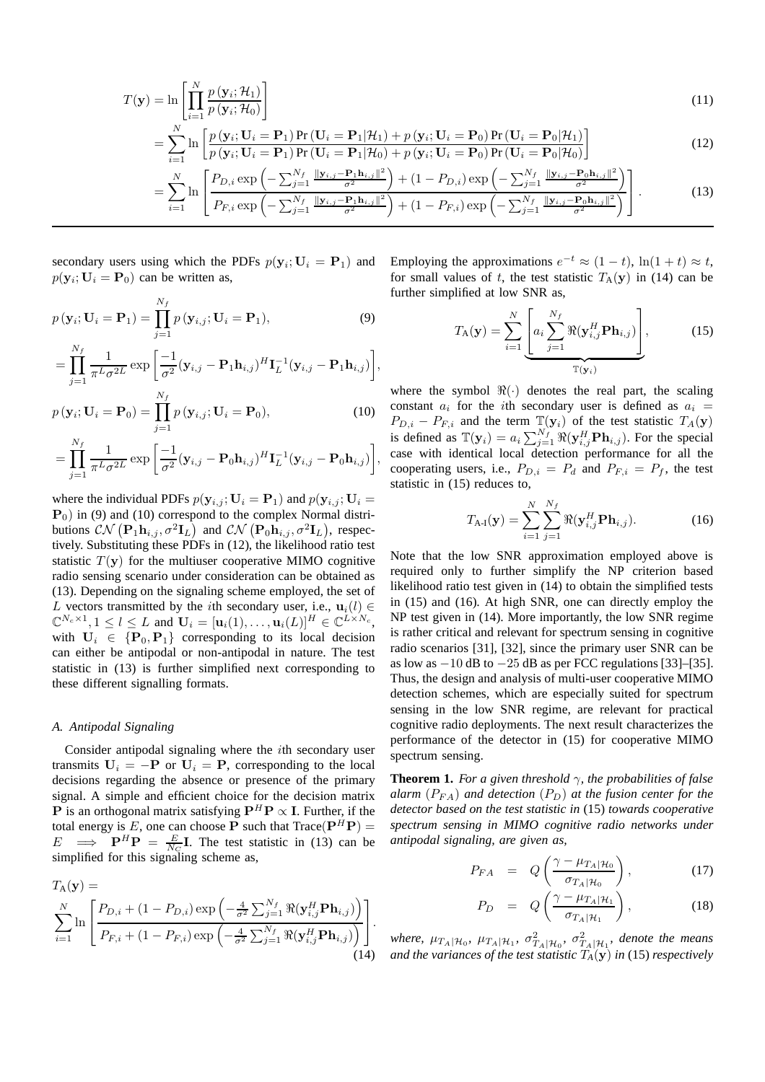$$
T(\mathbf{y}) = \ln \left[ \prod_{i=1}^{N} \frac{p(\mathbf{y}_i; \mathcal{H}_1)}{p(\mathbf{y}_i; \mathcal{H}_0)} \right]
$$
(11)

$$
= \sum_{i=1}^{N} \ln \left[ \frac{p(\mathbf{y}_i; \mathbf{U}_i = \mathbf{P}_1) \Pr(\mathbf{U}_i = \mathbf{P}_1 | \mathcal{H}_1) + p(\mathbf{y}_i; \mathbf{U}_i = \mathbf{P}_0) \Pr(\mathbf{U}_i = \mathbf{P}_0 | \mathcal{H}_1)}{p(\mathbf{y}_i; \mathbf{U}_i = \mathbf{P}_1) \Pr(\mathbf{U}_i = \mathbf{P}_1 | \mathcal{H}_0) + p(\mathbf{y}_i; \mathbf{U}_i = \mathbf{P}_0) \Pr(\mathbf{U}_i = \mathbf{P}_0 | \mathcal{H}_0)} \right]
$$
(12)

$$
= \sum_{i=1}^{N} \ln \left[ \frac{P_{D,i} \exp \left( -\sum_{j=1}^{N_f} \frac{\|\mathbf{y}_{i,j} - \mathbf{P}_1 \mathbf{h}_{i,j}\|^2}{\sigma^2} \right) + (1 - P_{D,i}) \exp \left( -\sum_{j=1}^{N_f} \frac{\|\mathbf{y}_{i,j} - \mathbf{P}_0 \mathbf{h}_{i,j}\|^2}{\sigma^2} \right)}{P_{F,i} \exp \left( -\sum_{j=1}^{N_f} \frac{\|\mathbf{y}_{i,j} - \mathbf{P}_1 \mathbf{h}_{i,j}\|^2}{\sigma^2} \right) + (1 - P_{F,i}) \exp \left( -\sum_{j=1}^{N_f} \frac{\|\mathbf{y}_{i,j} - \mathbf{P}_0 \mathbf{h}_{i,j}\|^2}{\sigma^2} \right)} \right].
$$
 (13)

secondary users using which the PDFs  $p(\mathbf{y}_i; \mathbf{U}_i = \mathbf{P}_1)$  and  $p(\mathbf{y}_i; \mathbf{U}_i = \mathbf{P}_0)$  can be written as,

$$
p(\mathbf{y}_i; \mathbf{U}_i = \mathbf{P}_1) = \prod_{j=1}^{N_f} p(\mathbf{y}_{i,j}; \mathbf{U}_i = \mathbf{P}_1),
$$
\n(9)

$$
= \prod_{j=1}^{N_f} \frac{1}{\pi^L \sigma^{2L}} \exp \left[ \frac{-1}{\sigma^2} (\mathbf{y}_{i,j} - \mathbf{P}_1 \mathbf{h}_{i,j})^H \mathbf{I}_L^{-1} (\mathbf{y}_{i,j} - \mathbf{P}_1 \mathbf{h}_{i,j}) \right],
$$
  

$$
N_f
$$

$$
p(\mathbf{y}_i; \mathbf{U}_i = \mathbf{P}_0) = \prod_{j=1}^{N} p(\mathbf{y}_{i,j}; \mathbf{U}_i = \mathbf{P}_0),
$$
 (10)

$$
= \prod_{j=1}^{N_f} \frac{1}{\pi^L \sigma^{2L}} \exp \left[ \frac{-1}{\sigma^2} (\mathbf{y}_{i,j} - \mathbf{P}_0 \mathbf{h}_{i,j})^H \mathbf{I}_L^{-1} (\mathbf{y}_{i,j} - \mathbf{P}_0 \mathbf{h}_{i,j}) \right],
$$

where the individual PDFs  $p(\mathbf{y}_{i,j}; \mathbf{U}_i = \mathbf{P}_1)$  and  $p(\mathbf{y}_{i,j}; \mathbf{U}_i =$  $P_0$ ) in (9) and (10) correspond to the complex Normal distributions  $\mathcal{CN}\left(\mathbf{P}_1\mathbf{h}_{i,j}, \sigma^2\mathbf{I}_L\right)$  and  $\mathcal{CN}\left(\mathbf{P}_0\mathbf{h}_{i,j}, \sigma^2\mathbf{I}_L\right)$ , respectively. Substituting these PDFs in (12), the likelihood ratio test statistic  $T(y)$  for the multiuser cooperative MIMO cognitive radio sensing scenario under consideration can be obtained as (13). Depending on the signaling scheme employed, the set of L vectors transmitted by the *i*th secondary user, i.e.,  $\mathbf{u}_i(l) \in$  $\mathbb{C}^{N_c \times 1}, 1 \leq l \leq L$  and  $\mathbf{U}_i = [\mathbf{u}_i(1), \dots, \mathbf{u}_i(L)]^H \in \mathbb{C}^{L \times N_c}$ , with  $U_i \in {P_0, P_1}$  corresponding to its local decision can either be antipodal or non-antipodal in nature. The test statistic in (13) is further simplified next corresponding to these different signalling formats.

#### *A. Antipodal Signaling*

Consider antipodal signaling where the ith secondary user transmits  $U_i = -P$  or  $U_i = P$ , corresponding to the local decisions regarding the absence or presence of the primary signal. A simple and efficient choice for the decision matrix **P** is an orthogonal matrix satisfying  $P^H P \propto I$ . Further, if the total energy is E, one can choose **P** such that  $Trace(P^H P) =$  $E \implies \mathbf{P}^H \mathbf{P} = \frac{E}{N_C} \mathbf{I}$ . The test statistic in (13) can be simplified for this signaling scheme as,

$$
T_{A}(\mathbf{y}) = \sum_{i=1}^{N} \ln \left[ \frac{P_{D,i} + (1 - P_{D,i}) \exp \left( -\frac{4}{\sigma^2} \sum_{j=1}^{N_f} \Re(\mathbf{y}_{i,j}^H \mathbf{P} \mathbf{h}_{i,j}) \right)}{P_{F,i} + (1 - P_{F,i}) \exp \left( -\frac{4}{\sigma^2} \sum_{j=1}^{N_f} \Re(\mathbf{y}_{i,j}^H \mathbf{P} \mathbf{h}_{i,j}) \right)} \right].
$$
\n(14)

Employing the approximations  $e^{-t} \approx (1-t)$ ,  $\ln(1+t) \approx t$ , for small values of t, the test statistic  $T_A(y)$  in (14) can be further simplified at low SNR as,

$$
T_{\mathbf{A}}(\mathbf{y}) = \sum_{i=1}^{N} \underbrace{\left[a_i \sum_{j=1}^{N_f} \Re(\mathbf{y}_{i,j}^H \mathbf{P} \mathbf{h}_{i,j})\right]}_{\mathbb{T}(\mathbf{y}_i)},
$$
(15)

where the symbol  $\Re(\cdot)$  denotes the real part, the scaling constant  $a_i$  for the *i*th secondary user is defined as  $a_i$  =  $P_{D,i} - P_{F,i}$  and the term  $\mathbb{T}(\mathbf{y}_i)$  of the test statistic  $T_A(\mathbf{y})$ is defined as  $\mathbb{T}(\mathbf{y}_i) = a_i \sum_{j=1}^{N_f} \Re(\mathbf{y}_{i,j}^H \mathbf{P} \mathbf{h}_{i,j})$ . For the special case with identical local detection performance for all the cooperating users, i.e.,  $P_{D,i} = P_d$  and  $P_{F,i} = P_f$ , the test statistic in (15) reduces to,

$$
T_{A-I}(\mathbf{y}) = \sum_{i=1}^{N} \sum_{j=1}^{N_f} \Re(\mathbf{y}_{i,j}^H \mathbf{P} \mathbf{h}_{i,j}).
$$
 (16)

Note that the low SNR approximation employed above is required only to further simplify the NP criterion based likelihood ratio test given in (14) to obtain the simplified tests in (15) and (16). At high SNR, one can directly employ the NP test given in (14). More importantly, the low SNR regime is rather critical and relevant for spectrum sensing in cognitive radio scenarios [31], [32], since the primary user SNR can be as low as  $-10$  dB to  $-25$  dB as per FCC regulations [33]–[35]. Thus, the design and analysis of multi-user cooperative MIMO detection schemes, which are especially suited for spectrum sensing in the low SNR regime, are relevant for practical cognitive radio deployments. The next result characterizes the performance of the detector in (15) for cooperative MIMO spectrum sensing.

**Theorem 1.** *For a given threshold*  $\gamma$ *, the probabilities of false alarm*  $(P_{FA})$  *and detection*  $(P_D)$  *at the fusion center for the detector based on the test statistic in* (15) *towards cooperative spectrum sensing in MIMO cognitive radio networks under antipodal signaling, are given as,*

$$
P_{FA} = Q\left(\frac{\gamma - \mu_{T_A|\mathcal{H}_0}}{\sigma_{T_A|\mathcal{H}_0}}\right), \tag{17}
$$

$$
P_D = Q\left(\frac{\gamma - \mu_{T_A|\mathcal{H}_1}}{\sigma_{T_A|\mathcal{H}_1}}\right),\tag{18}
$$

where,  $\mu_{T_A|\mathcal{H}_0}$ ,  $\mu_{T_A|\mathcal{H}_1}$ ,  $\sigma_{T_A|\mathcal{H}_0}^2$ ,  $\sigma_{T_A|\mathcal{H}_1}^2$ , denote the means *and the variances of the test statistic* T*A*(y) *in* (15) *respectively*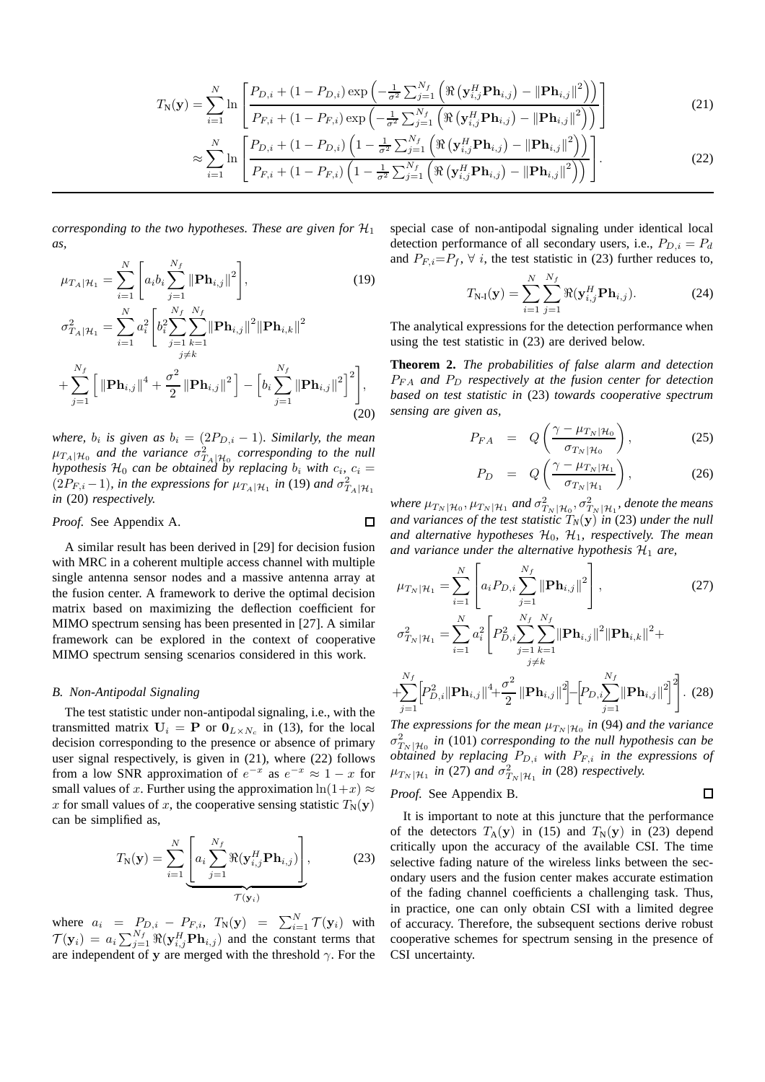$$
T_{N}(\mathbf{y}) = \sum_{i=1}^{N} \ln \left[ \frac{P_{D,i} + (1 - P_{D,i}) \exp \left( -\frac{1}{\sigma^{2}} \sum_{j=1}^{N_{f}} \left( \Re \left( \mathbf{y}_{i,j}^{H} \mathbf{P} \mathbf{h}_{i,j} \right) - ||\mathbf{P} \mathbf{h}_{i,j}||^{2} \right) \right)}{P_{F,i} + (1 - P_{F,i}) \exp \left( -\frac{1}{\sigma^{2}} \sum_{j=1}^{N_{f}} \left( \Re \left( \mathbf{y}_{i,j}^{H} \mathbf{P} \mathbf{h}_{i,j} \right) - ||\mathbf{P} \mathbf{h}_{i,j}||^{2} \right) \right)} \right]
$$
(21)  

$$
\sum_{i=1}^{N} \left[ P_{D,i} + (1 - P_{D,i}) \left( 1 - \frac{1}{\sigma^{2}} \sum_{j=1}^{N_{f}} \left( \Re \left( \mathbf{y}_{i,j}^{H} \mathbf{P} \mathbf{h}_{i,j} \right) - ||\mathbf{P} \mathbf{h}_{i,j}||^{2} \right) \right) \right]
$$

$$
\approx \sum_{i=1}^{N} \ln \left[ \frac{P_{D,i} + (1 - P_{D,i}) \left( 1 - \frac{1}{\sigma^2} \sum_{j=1}^{N_f} \left( \Re \left( \mathbf{y}_{i,j}^H \mathbf{H}_{i,j} \right) - ||\mathbf{H}_{i,j}||^2 \right) \right)}{P_{F,i} + (1 - P_{F,i}) \left( 1 - \frac{1}{\sigma^2} \sum_{j=1}^{N_f} \left( \Re \left( \mathbf{y}_{i,j}^H \mathbf{P} \mathbf{h}_{i,j} \right) - ||\mathbf{P} \mathbf{h}_{i,j}||^2 \right) \right) \right].
$$
 (22)

*corresponding to the two hypotheses. These are given for*  $H_1$ *as,*

$$
\mu_{T_A|\mathcal{H}_1} = \sum_{i=1}^N \left[ a_i b_i \sum_{j=1}^{N_f} \|\mathbf{Ph}_{i,j}\|^2 \right],
$$
\n
$$
\sigma_{T_A|\mathcal{H}_1}^2 = \sum_{i=1}^N a_i^2 \left[ b_i^2 \sum_{j=1}^N \sum_{k=1}^{N_f} \|\mathbf{Ph}_{i,j}\|^2 \|\mathbf{Ph}_{i,k}\|^2 + \sum_{j=1}^{N_f} \left[ \|\mathbf{Ph}_{i,j}\|^4 + \frac{\sigma^2}{2} \|\mathbf{Ph}_{i,j}\|^2 \right] - \left[ b_i \sum_{j=1}^{N_f} \|\mathbf{Ph}_{i,j}\|^2 \right]^2 \right],
$$
\n(19)

*where,*  $b_i$  is given as  $b_i = (2P_{D,i} - 1)$ *. Similarly, the mean*  $\mu_{T_A|\mathcal{H}_0}$  and the variance  $\sigma_{T_A|\mathcal{H}_0}^2$  corresponding to the null *hypothesis*  $\mathcal{H}_0$  *can be obtained by replacing*  $b_i$  *with*  $c_i$ ,  $c_i$  =  $(2P_{F,i}-1)$ *, in the expressions for*  $\mu_{T_A|\mathcal{H}_1}$  *in* (19) *and*  $\sigma_{T_A|\mathcal{H}_1}^2$ *in* (20) *respectively.*

*Proof.* See Appendix A.  $\Box$ 

A similar result has been derived in [29] for decision fusion with MRC in a coherent multiple access channel with multiple single antenna sensor nodes and a massive antenna array at the fusion center. A framework to derive the optimal decision matrix based on maximizing the deflection coefficient for MIMO spectrum sensing has been presented in [27]. A similar framework can be explored in the context of cooperative MIMO spectrum sensing scenarios considered in this work.

#### *B. Non-Antipodal Signaling*

The test statistic under non-antipodal signaling, i.e., with the transmitted matrix  $U_i = P$  or  $0_{L \times N_c}$  in (13), for the local decision corresponding to the presence or absence of primary user signal respectively, is given in (21), where (22) follows from a low SNR approximation of  $e^{-x}$  as  $e^{-x} \approx 1 - x$  for small values of x. Further using the approximation  $ln(1+x) \approx$ x for small values of x, the cooperative sensing statistic  $T_N(y)$ can be simplified as,

$$
T_{N}(\mathbf{y}) = \sum_{i=1}^{N} \underbrace{\left[a_i \sum_{j=1}^{N_f} \Re(\mathbf{y}_{i,j}^H \mathbf{P} \mathbf{h}_{i,j})\right]}_{\mathcal{T}(\mathbf{y}_i)},
$$
(23)

where  $a_i = P_{D,i} - P_{F,i}$ ,  $T_N(\mathbf{y}) = \sum_{i=1}^N \mathcal{T}(\mathbf{y}_i)$  with  $\mathcal{T}(\mathbf{y}_i) = a_i \sum_{j=1}^{N_f} \Re(\mathbf{y}_{i,j}^H \mathbf{P} \mathbf{h}_{i,j})$  and the constant terms that are independent of y are merged with the threshold  $\gamma$ . For the special case of non-antipodal signaling under identical local detection performance of all secondary users, i.e.,  $P_{D,i} = P_d$ and  $P_{F,i} = P_f$ ,  $\forall i$ , the test statistic in (23) further reduces to,

$$
T_{N-1}(\mathbf{y}) = \sum_{i=1}^{N} \sum_{j=1}^{N_f} \Re(\mathbf{y}_{i,j}^H \mathbf{P} \mathbf{h}_{i,j}).
$$
 (24)

The analytical expressions for the detection performance when using the test statistic in (23) are derived below.

**Theorem 2.** *The probabilities of false alarm and detection* PF A *and* P<sup>D</sup> *respectively at the fusion center for detection based on test statistic in* (23) *towards cooperative spectrum sensing are given as,*

$$
P_{FA} = Q\left(\frac{\gamma - \mu_{T_N|\mathcal{H}_0}}{\sigma_{T_N|\mathcal{H}_0}}\right),\tag{25}
$$

$$
P_D = Q\left(\frac{\gamma - \mu_{T_N|\mathcal{H}_1}}{\sigma_{T_N|\mathcal{H}_1}}\right),\tag{26}
$$

*where*  $\mu_{T_N|\mathcal{H}_0}, \mu_{T_N|\mathcal{H}_1}$  and  $\sigma_{T_N|\mathcal{H}_0}^2, \sigma_{T_N|\mathcal{H}_1}^2$  denote the means *and variances of the test statistic*  $T_N(\mathbf{y})$  *in (23) under the null* and alternative hypotheses  $H_0$ ,  $H_1$ , respectively. The mean and variance under the alternative hypothesis  $\mathcal{H}_1$  are,

$$
\mu_{T_N|\mathcal{H}_1} = \sum_{i=1}^N \left[ a_i P_{D,i} \sum_{j=1}^{N_f} \|\mathbf{P}\mathbf{h}_{i,j}\|^2 \right],
$$
\n
$$
\sigma_{T_N|\mathcal{H}_1}^2 = \sum_{i=1}^N a_i^2 \left[ P_{D,i}^2 \sum_{j=1}^{N_f} \sum_{k=1}^{N_f} \|\mathbf{P}\mathbf{h}_{i,j}\|^2 \|\mathbf{P}\mathbf{h}_{i,k}\|^2 + \right]
$$
\n(27)

$$
+\sum_{j=1}^{N_f} \left[ P_{D,i}^2 \|\mathbf{Ph}_{i,j}\|^4 + \frac{\sigma^2}{2} \|\mathbf{Ph}_{i,j}\|^2 \right] - \left[ P_{D,i} \sum_{j=1}^{N_f} \|\mathbf{Ph}_{i,j}\|^2 \right]^2 \right].
$$
 (28)

 $i+k$ 

*The expressions for the mean*  $\mu_{T_N|\mathcal{H}_0}$  *in* (94) *and the variance*  $\sigma_{T_N|\mathcal{H}_0}^2$  in (101) *corresponding to the null hypothesis can be obtained by replacing* PD,i *with* PF,i *in the expressions of*  $\mu_{T_N|\mathcal{H}_1}$  in (27) and  $\sigma_{T_N|\mathcal{H}_1}^2$  in (28) respectively.

 $\Box$ 

*Proof.* See Appendix B.

It is important to note at this juncture that the performance of the detectors  $T_A(y)$  in (15) and  $T_N(y)$  in (23) depend critically upon the accuracy of the available CSI. The time selective fading nature of the wireless links between the secondary users and the fusion center makes accurate estimation of the fading channel coefficients a challenging task. Thus, in practice, one can only obtain CSI with a limited degree of accuracy. Therefore, the subsequent sections derive robust cooperative schemes for spectrum sensing in the presence of CSI uncertainty.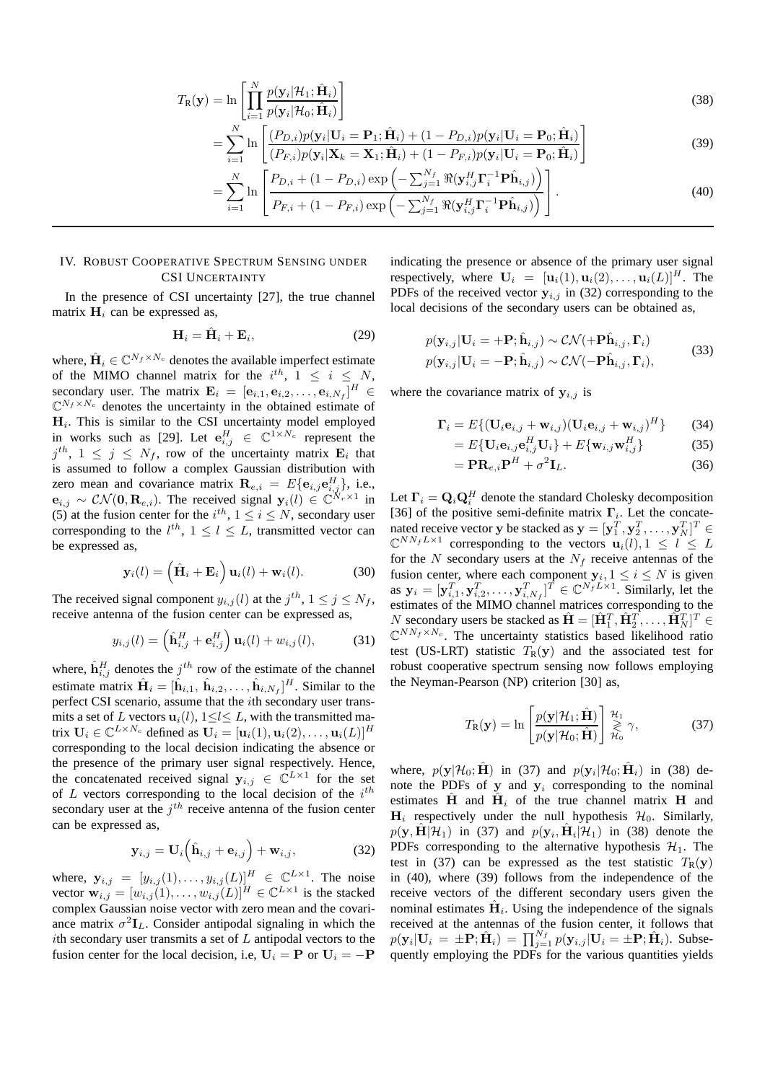$$
T_{\mathbf{R}}(\mathbf{y}) = \ln \left[ \prod_{i=1}^{N} \frac{p(\mathbf{y}_i | \mathcal{H}_1; \hat{\mathbf{H}}_i)}{p(\mathbf{y}_i | \mathcal{H}_0; \hat{\mathbf{H}}_i)} \right]
$$
(38)

$$
= \sum_{i=1}^{N} \ln \left[ \frac{(P_{D,i})p(\mathbf{y}_i|\mathbf{U}_i = \mathbf{P}_1; \hat{\mathbf{H}}_i) + (1 - P_{D,i})p(\mathbf{y}_i|\mathbf{U}_i = \mathbf{P}_0; \hat{\mathbf{H}}_i)}{(P_{F,i})p(\mathbf{y}_i|\mathbf{X}_k = \mathbf{X}_1; \hat{\mathbf{H}}_i) + (1 - P_{F,i})p(\mathbf{y}_i|\mathbf{U}_i = \mathbf{P}_0; \hat{\mathbf{H}}_i)} \right]
$$
(39)

$$
= \sum_{i=1}^{N} \ln \left[ \frac{P_{D,i} + (1 - P_{D,i}) \exp \left( -\sum_{j=1}^{N_f} \Re(\mathbf{y}_{i,j}^H \mathbf{\Gamma}_i^{-1} \mathbf{P} \hat{\mathbf{h}}_{i,j}) \right)}{P_{F,i} + (1 - P_{F,i}) \exp \left( -\sum_{j=1}^{N_f} \Re(\mathbf{y}_{i,j}^H \mathbf{\Gamma}_i^{-1} \mathbf{P} \hat{\mathbf{h}}_{i,j}) \right)} \right].
$$
 (40)

#### IV. ROBUST COOPERATIVE SPECTRUM SENSING UNDER CSI UNCERTAINTY

In the presence of CSI uncertainty [27], the true channel matrix  $H_i$  can be expressed as,

$$
\mathbf{H}_i = \hat{\mathbf{H}}_i + \mathbf{E}_i, \tag{29}
$$

where,  $\hat{\mathbf{H}}_i \in \mathbb{C}^{N_f \times N_c}$  denotes the available imperfect estimate of the MIMO channel matrix for the  $i^{th}$ ,  $1 \leq i \leq N$ , secondary user. The matrix  $\mathbf{E}_i = [\mathbf{e}_{i,1}, \mathbf{e}_{i,2}, \dots, \mathbf{e}_{i,N_f}]^H \in$  $\mathbb{C}^{N_f \times N_c}$  denotes the uncertainty in the obtained estimate of  $H_i$ . This is similar to the CSI uncertainty model employed in works such as [29]. Let  $e_{i,j}^H \in \mathbb{C}^{1 \times N_c}$  represent the  $j^{th}$ ,  $1 \leq j \leq N_f$ , row of the uncertainty matrix  $\mathbf{E}_i$  that is assumed to follow a complex Gaussian distribution with zero mean and covariance matrix  $\mathbf{R}_{e,i} = E\{\mathbf{e}_{i,j}\mathbf{e}_{i,j}^H\},\$  i.e.,  $\mathbf{e}_{i,j} \sim \mathcal{CN}(\mathbf{0},\mathbf{R}_{e,i})$ . The received signal  $\mathbf{y}_i(l) \in \mathbb{C}^{N_r \times 1}$  in (5) at the fusion center for the  $i^{th}$ ,  $1 \le i \le N$ , secondary user corresponding to the  $l^{th}$ ,  $1 \leq l \leq L$ , transmitted vector can be expressed as,

$$
\mathbf{y}_i(l) = \left(\hat{\mathbf{H}}_i + \mathbf{E}_i\right) \mathbf{u}_i(l) + \mathbf{w}_i(l). \tag{30}
$$

The received signal component  $y_{i,j}(l)$  at the  $j^{th}$ ,  $1 \le j \le N_f$ , receive antenna of the fusion center can be expressed as,

$$
y_{i,j}(l) = \left(\hat{\mathbf{h}}_{i,j}^H + \mathbf{e}_{i,j}^H\right) \mathbf{u}_i(l) + w_{i,j}(l),\tag{31}
$$

where,  $\hat{\mathbf{h}}_{i,j}^H$  denotes the  $j^{th}$  row of the estimate of the channel estimate matrix  $\hat{\mathbf{H}}_i = [\hat{\mathbf{h}}_{i,1}, \hat{\mathbf{h}}_{i,2}, \dots, \hat{\mathbf{h}}_{i,N_f}]^H$ . Similar to the perfect CSI scenario, assume that the ith secondary user transmits a set of L vectors  $\mathbf{u}_i(l)$ ,  $1 \le l \le L$ , with the transmitted matrix  $\mathbf{U}_i \in \mathbb{C}^{L \times N_c}$  defined as  $\mathbf{U}_i = [\mathbf{u}_i(1), \mathbf{u}_i(2), \dots, \mathbf{u}_i(L)]^H$ corresponding to the local decision indicating the absence or the presence of the primary user signal respectively. Hence, the concatenated received signal  $y_{i,j} \in \mathbb{C}^{L \times 1}$  for the set of  $L$  vectors corresponding to the local decision of the  $i^{th}$ secondary user at the  $j<sup>th</sup>$  receive antenna of the fusion center can be expressed as,

$$
\mathbf{y}_{i,j} = \mathbf{U}_i \left( \hat{\mathbf{h}}_{i,j} + \mathbf{e}_{i,j} \right) + \mathbf{w}_{i,j}, \tag{32}
$$

where,  $\mathbf{y}_{i,j} = [y_{i,j}(1), \dots, y_{i,j}(L)]_H^H \in \mathbb{C}^{L \times 1}$ . The noise vector  $\mathbf{w}_{i,j} = [w_{i,j}(1), \dots, w_{i,j}(L)]^H \in \mathbb{C}^{L \times 1}$  is the stacked complex Gaussian noise vector with zero mean and the covariance matrix  $\sigma^2 \mathbf{I}_L$ . Consider antipodal signaling in which the ith secondary user transmits a set of  $L$  antipodal vectors to the fusion center for the local decision, i.e,  $U_i = P$  or  $U_i = -P$ 

indicating the presence or absence of the primary user signal respectively, where  $U_i = [u_i(1), u_i(2), \dots, u_i(L)]^H$ . The PDFs of the received vector  $y_{i,j}$  in (32) corresponding to the local decisions of the secondary users can be obtained as,

$$
p(\mathbf{y}_{i,j}|\mathbf{U}_i = +\mathbf{P}; \hat{\mathbf{h}}_{i,j}) \sim \mathcal{CN}(+\mathbf{P}\hat{\mathbf{h}}_{i,j}, \mathbf{\Gamma}_i)
$$
  
\n
$$
p(\mathbf{y}_{i,j}|\mathbf{U}_i = -\mathbf{P}; \hat{\mathbf{h}}_{i,j}) \sim \mathcal{CN}(-\mathbf{P}\hat{\mathbf{h}}_{i,j}, \mathbf{\Gamma}_i),
$$
\n(33)

where the covariance matrix of  $y_{i,j}$  is

$$
\mathbf{\Gamma}_{i} = E\{ (\mathbf{U}_{i}\mathbf{e}_{i,j} + \mathbf{w}_{i,j})(\mathbf{U}_{i}\mathbf{e}_{i,j} + \mathbf{w}_{i,j})^{H} \}
$$
(34)

$$
=E\{\mathbf{U}_i\mathbf{e}_{i,j}\mathbf{e}_{i,j}^H\mathbf{U}_i\}+E\{\mathbf{w}_{i,j}\mathbf{w}_{i,j}^H\}\tag{35}
$$

$$
= \mathbf{PR}_{e,i} \mathbf{P}^H + \sigma^2 \mathbf{I}_L. \tag{36}
$$

Let  $\Gamma_i = \mathbf{Q}_i \mathbf{Q}_i^H$  denote the standard Cholesky decomposition [36] of the positive semi-definite matrix  $\Gamma_i$ . Let the concatenated receive vector y be stacked as  $\mathbf{y} = [\mathbf{y}_1^T, \mathbf{y}_2^T, \dots, \mathbf{y}_N^T]^T \in$  $\mathbb{C}^{NN_fL\times 1}$  corresponding to the vectors  $\mathbf{u}_i(l), 1 \leq l \leq L$ for the N secondary users at the  $N_f$  receive antennas of the fusion center, where each component  $y_i, 1 \le i \le N$  is given as  $\mathbf{y}_i = [\mathbf{y}_{i,1}^T, \mathbf{y}_{i,2}^T, \dots, \mathbf{y}_{i,N_f}^T]^T \in \mathbb{C}^{N_f L \times 1}$ . Similarly, let the estimates of the MIMO channel matrices corresponding to the N secondary users be stacked as  $\hat{\mathbf{H}} = [\hat{\mathbf{H}}_1^T, \hat{\mathbf{H}}_2^T, \dots, \hat{\mathbf{H}}_N^T]^T \in \mathbb{R}^{N}$  $\mathbb{C}^{NN_f \times N_c}$ . The uncertainty statistics based likelihood ratio test (US-LRT) statistic  $T_R(y)$  and the associated test for robust cooperative spectrum sensing now follows employing the Neyman-Pearson (NP) criterion [30] as,

$$
T_{\mathbf{R}}(\mathbf{y}) = \ln \left[ \frac{p(\mathbf{y}|\mathcal{H}_1; \hat{\mathbf{H}})}{p(\mathbf{y}|\mathcal{H}_0; \hat{\mathbf{H}})} \right] \overset{\mathcal{H}_1}{\underset{\mathcal{H}_0}{\geq}} \gamma,
$$
(37)

where,  $p(\mathbf{y}|\mathcal{H}_0; \hat{\mathbf{H}})$  in (37) and  $p(\mathbf{y}_i|\mathcal{H}_0; \hat{\mathbf{H}}_i)$  in (38) denote the PDFs of  $y$  and  $y_i$  corresponding to the nominal estimates  $\hat{H}$  and  $\hat{H}$ <sub>i</sub> of the true channel matrix H and  $H_i$  respectively under the null hypothesis  $H_0$ . Similarly,  $p(\mathbf{y}, \hat{\mathbf{H}} | \mathcal{H}_1)$  in (37) and  $p(\mathbf{y}_i, \hat{\mathbf{H}}_i | \mathcal{H}_1)$  in (38) denote the PDFs corresponding to the alternative hypothesis  $\mathcal{H}_1$ . The test in (37) can be expressed as the test statistic  $T_R(y)$ in (40), where (39) follows from the independence of the receive vectors of the different secondary users given the nominal estimates  $\hat{H}_i$ . Using the independence of the signals received at the antennas of the fusion center, it follows that  $p(\mathbf{y}_i | \mathbf{U}_i = \pm \mathbf{P}; \hat{\mathbf{H}}_i) = \prod_{j=1}^{N_f} p(\mathbf{y}_{i,j} | \mathbf{U}_i = \pm \mathbf{P}; \hat{\mathbf{H}}_i)$ . Subsequently employing the PDFs for the various quantities yields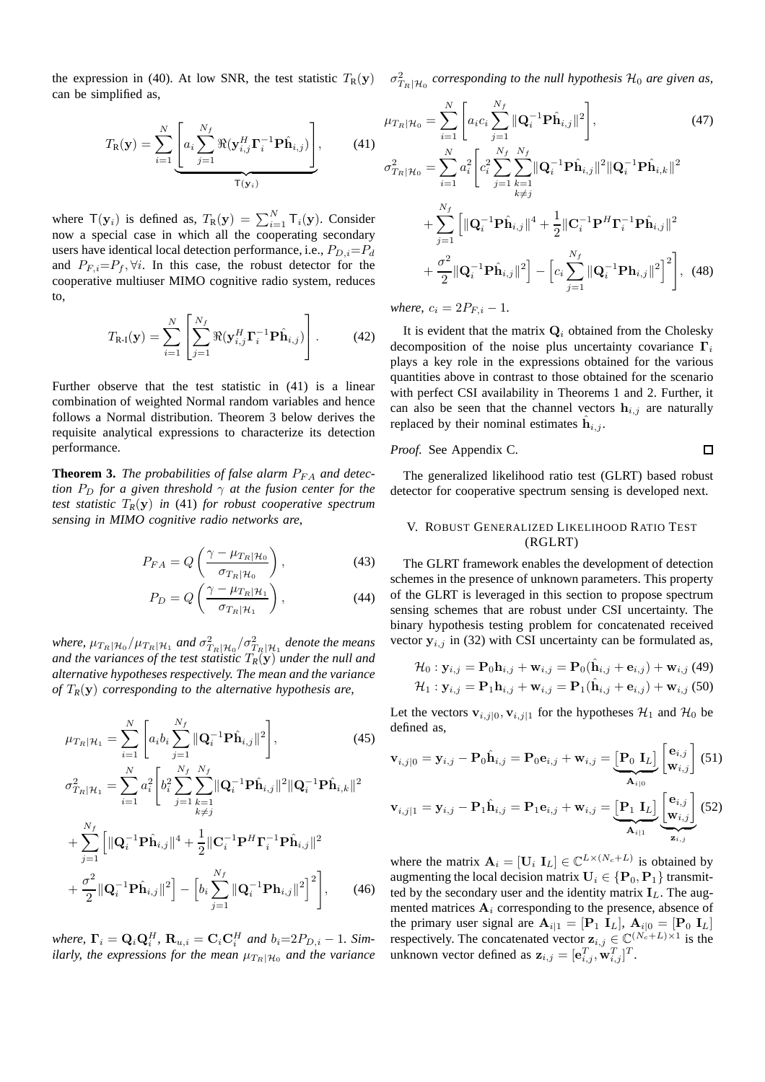the expression in (40). At low SNR, the test statistic  $T_R(y)$   $\sigma_{T_R|\mathcal{H}_0}^2$  corresponding to the null hypothesis  $\mathcal{H}_0$  are given as, can be simplified as,

$$
T_{\mathbf{R}}(\mathbf{y}) = \sum_{i=1}^{N} \underbrace{\left[a_i \sum_{j=1}^{N_f} \Re(\mathbf{y}_{i,j}^H \mathbf{\Gamma}_i^{-1} \mathbf{P} \hat{\mathbf{h}}_{i,j})\right]}_{\mathsf{T}(\mathbf{y}_i)},\tag{41}
$$

where  $T(y_i)$  is defined as,  $T_R(y) = \sum_{i=1}^{N} T_i(y)$ . Consider now a special case in which all the cooperating secondary users have identical local detection performance, i.e.,  $P_{D,i}=P_d$ and  $P_{F,i}=P_f$ ,  $\forall i$ . In this case, the robust detector for the cooperative multiuser MIMO cognitive radio system, reduces to,

$$
T_{\mathbf{R}\cdot\mathbf{I}}(\mathbf{y}) = \sum_{i=1}^{N} \left[ \sum_{j=1}^{N_f} \Re(\mathbf{y}_{i,j}^H \mathbf{\Gamma}_i^{-1} \mathbf{P} \hat{\mathbf{h}}_{i,j}) \right].
$$
 (42)

Further observe that the test statistic in (41) is a linear combination of weighted Normal random variables and hence follows a Normal distribution. Theorem 3 below derives the requisite analytical expressions to characterize its detection performance.

**Theorem 3.** *The probabilities of false alarm*  $P_{FA}$  *and detection*  $P_D$  *for a given threshold*  $\gamma$  *at the fusion center for the test statistic* T*R*(y) *in* (41) *for robust cooperative spectrum sensing in MIMO cognitive radio networks are,*

$$
P_{FA} = Q\left(\frac{\gamma - \mu_{T_R|\mathcal{H}_0}}{\sigma_{T_R|\mathcal{H}_0}}\right),\tag{43}
$$

$$
P_D = Q\left(\frac{\gamma - \mu_{T_R|\mathcal{H}_1}}{\sigma_{T_R|\mathcal{H}_1}}\right),\tag{44}
$$

where,  $\mu_{T_R|\mathcal{H}_0}/\mu_{T_R|\mathcal{H}_1}$  and  $\sigma^2_{T_R|\mathcal{H}_0}/\sigma^2_{T_R|\mathcal{H}_1}$  denote the means *and the variances of the test statistic*  $T_R(y)$  *under the null and alternative hypotheses respectively. The mean and the variance of* T*R*(y) *corresponding to the alternative hypothesis are,*

$$
\mu_{T_R|\mathcal{H}_1} = \sum_{i=1}^N \left[ a_i b_i \sum_{j=1}^{N_f} ||\mathbf{Q}_i^{-1} \mathbf{P} \hat{\mathbf{h}}_{i,j}||^2 \right],
$$
\n(45)\n
$$
\sigma_{T_R|\mathcal{H}_1}^2 = \sum_{i=1}^N a_i^2 \left[ b_i^2 \sum_{j=1}^{N_f} \sum_{j=1}^{N_f} ||\mathbf{Q}_i^{-1} \mathbf{P} \hat{\mathbf{h}}_{i,j}||^2 ||\mathbf{Q}_i^{-1} \mathbf{P} \hat{\mathbf{h}}_{i,k}||^2 \right]
$$

$$
i=1 \qquad L \qquad j=1 \underset{k \neq j}{\overset{k=1}{\sum}} \left[ \|\mathbf{Q}_i^{-1} \mathbf{P} \hat{\mathbf{h}}_{i,j} \|^4 + \frac{1}{2} \|\mathbf{C}_i^{-1} \mathbf{P}^H \mathbf{\Gamma}_i^{-1} \mathbf{P} \hat{\mathbf{h}}_{i,j} \|^2 \right] + \frac{\sigma^2}{2} \|\mathbf{Q}_i^{-1} \mathbf{P} \hat{\mathbf{h}}_{i,j} \|^2 \right] - \left[ b_i \sum_{j=1}^{N_f} \|\mathbf{Q}_i^{-1} \mathbf{P} \mathbf{h}_{i,j} \|^2 \right]^2 \right], \qquad (46)
$$

*where,*  $\mathbf{\Gamma}_i = \mathbf{Q}_i \mathbf{Q}_i^H$ ,  $\mathbf{R}_{u,i} = \mathbf{C}_i \mathbf{C}_i^H$  and  $b_i = 2P_{D,i} - 1$ *. Similarly, the expressions for the mean*  $\mu_{T_R|\mathcal{H}_0}$  and the variance

$$
\mu_{T_R|\mathcal{H}_0} = \sum_{i=1}^N \left[ a_i c_i \sum_{j=1}^{N_f} \|\mathbf{Q}_i^{-1} \mathbf{P} \hat{\mathbf{h}}_{i,j} \|^2 \right],\tag{47}
$$
\n
$$
\sigma_{T_R|\mathcal{H}_0}^2 = \sum_{i=1}^N a_i^2 \left[ c_i^2 \sum_{j=1}^{N_f} \sum_{\substack{k=1 \ k \neq j}}^{N_f} \|\mathbf{Q}_i^{-1} \mathbf{P} \hat{\mathbf{h}}_{i,j} \|^2 \|\mathbf{Q}_i^{-1} \mathbf{P} \hat{\mathbf{h}}_{i,k} \|^2 \right. \\
\left. + \sum_{j=1}^{N_f} \left[ \|\mathbf{Q}_i^{-1} \mathbf{P} \hat{\mathbf{h}}_{i,j} \|^4 + \frac{1}{2} \|\mathbf{C}_i^{-1} \mathbf{P}^H \mathbf{\Gamma}_i^{-1} \mathbf{P} \hat{\mathbf{h}}_{i,j} \|^2 \right. \\
\left. + \frac{\sigma^2}{2} \|\mathbf{Q}_i^{-1} \mathbf{P} \hat{\mathbf{h}}_{i,j} \|^2 \right] - \left[ c_i \sum_{j=1}^{N_f} \|\mathbf{Q}_i^{-1} \mathbf{P} \mathbf{h}_{i,j} \|^2 \right]^2 \right],\tag{48}
$$

*where,*  $c_i = 2P_{F,i} - 1$ .

It is evident that the matrix  $Q_i$  obtained from the Cholesky decomposition of the noise plus uncertainty covariance  $\Gamma_i$ plays a key role in the expressions obtained for the various quantities above in contrast to those obtained for the scenario with perfect CSI availability in Theorems 1 and 2. Further, it can also be seen that the channel vectors  $h_{i,j}$  are naturally replaced by their nominal estimates  $\hat{h}_{i,j}$ .

#### *Proof.* See Appendix C.  $\Box$

The generalized likelihood ratio test (GLRT) based robust detector for cooperative spectrum sensing is developed next.

#### V. ROBUST GENERALIZED LIKELIHOOD RATIO TEST (RGLRT)

The GLRT framework enables the development of detection schemes in the presence of unknown parameters. This property of the GLRT is leveraged in this section to propose spectrum sensing schemes that are robust under CSI uncertainty. The binary hypothesis testing problem for concatenated received vector  $y_{i,j}$  in (32) with CSI uncertainty can be formulated as,

$$
\mathcal{H}_0: \mathbf{y}_{i,j} = \mathbf{P}_0 \mathbf{h}_{i,j} + \mathbf{w}_{i,j} = \mathbf{P}_0(\hat{\mathbf{h}}_{i,j} + \mathbf{e}_{i,j}) + \mathbf{w}_{i,j} \ (49) \mathcal{H}_1: \mathbf{y}_{i,j} = \mathbf{P}_1 \mathbf{h}_{i,j} + \mathbf{w}_{i,j} = \mathbf{P}_1(\hat{\mathbf{h}}_{i,j} + \mathbf{e}_{i,j}) + \mathbf{w}_{i,j} \ (50)
$$

Let the vectors  $\mathbf{v}_{i,j|0}, \mathbf{v}_{i,j|1}$  for the hypotheses  $\mathcal{H}_1$  and  $\mathcal{H}_0$  be defined as,

$$
\mathbf{v}_{i,j|0} = \mathbf{y}_{i,j} - \mathbf{P}_0 \hat{\mathbf{h}}_{i,j} = \mathbf{P}_0 \mathbf{e}_{i,j} + \mathbf{w}_{i,j} = \underbrace{\begin{bmatrix} \mathbf{P}_0 & \mathbf{I}_L \end{bmatrix}}_{\mathbf{A}_{i|0}} \begin{bmatrix} \mathbf{e}_{i,j} \\ \mathbf{w}_{i,j} \end{bmatrix} (51)
$$
\n
$$
\mathbf{v}_{i,j|1} = \mathbf{y}_{i,j} - \mathbf{P}_1 \hat{\mathbf{h}}_{i,j} = \mathbf{P}_1 \mathbf{e}_{i,j} + \mathbf{w}_{i,j} = \underbrace{\begin{bmatrix} \mathbf{P}_1 & \mathbf{I}_L \end{bmatrix}}_{\mathbf{A}_{i|1}} \underbrace{\begin{bmatrix} \mathbf{e}_{i,j} \\ \mathbf{w}_{i,j} \end{bmatrix}}_{\mathbf{z}_{i,j}} (52)
$$

where the matrix  $\mathbf{A}_i = [\mathbf{U}_i \; \mathbf{I}_L] \in \mathbb{C}^{L \times (N_c + L)}$  is obtained by augmenting the local decision matrix  $U_i \in \{P_0, P_1\}$  transmitted by the secondary user and the identity matrix  $I_L$ . The augmented matrices  $A_i$  corresponding to the presence, absence of the primary user signal are  $\mathbf{A}_{i|1} = [\mathbf{P}_1 \; \mathbf{I}_L], \; \mathbf{A}_{i|0} = [\mathbf{P}_0 \; \mathbf{I}_L]$ respectively. The concatenated vector  $\mathbf{z}_{i,j} \in \mathbb{C}^{(N_c+L) \times 1}$  is the unknown vector defined as  $\mathbf{z}_{i,j} = [\mathbf{e}_{i,j}^T, \mathbf{w}_{i,j}^T]^T$ .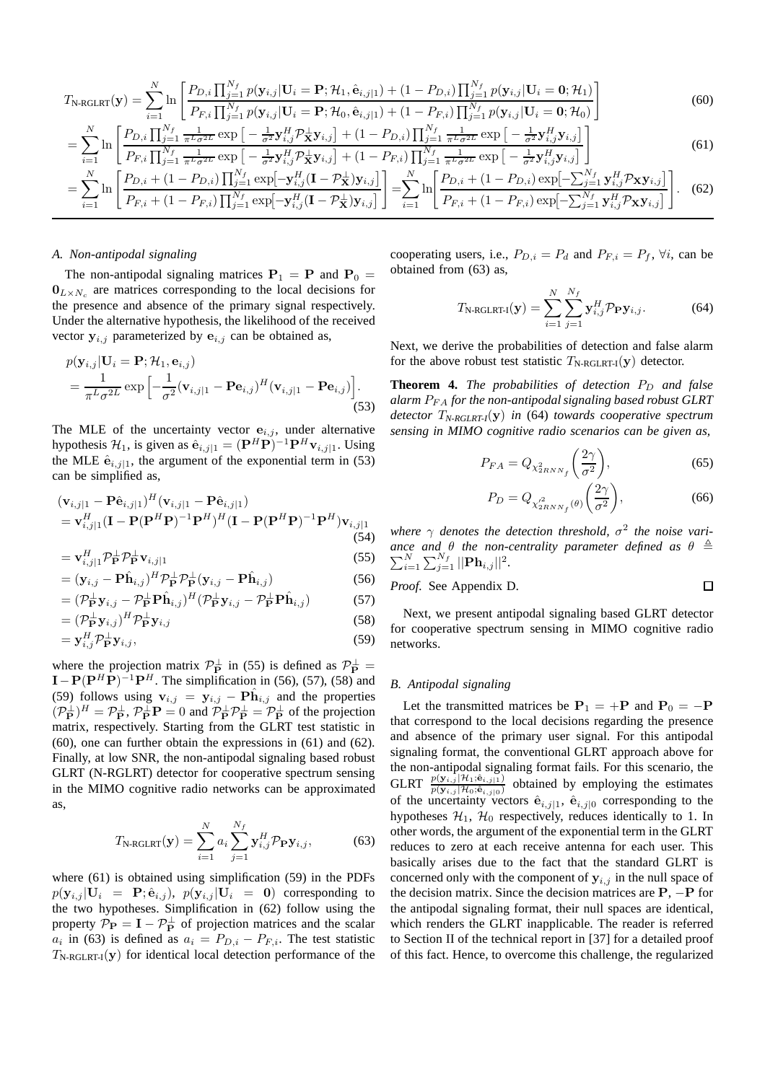$$
T_{\text{N-RGLRT}}(\mathbf{y}) = \sum_{i=1}^{N} \ln \left[ \frac{P_{D,i} \prod_{j=1}^{N_f} p(\mathbf{y}_{i,j} | \mathbf{U}_i = \mathbf{P}; \mathcal{H}_1, \hat{\mathbf{e}}_{i,j|1}) + (1 - P_{D,i}) \prod_{j=1}^{N_f} p(\mathbf{y}_{i,j} | \mathbf{U}_i = \mathbf{0}; \mathcal{H}_1)}{P_{F,i} \prod_{j=1}^{N_f} p(\mathbf{y}_{i,j} | \mathbf{U}_i = \mathbf{P}; \mathcal{H}_0, \hat{\mathbf{e}}_{i,j|1}) + (1 - P_{F,i}) \prod_{j=1}^{N_f} p(\mathbf{y}_{i,j} | \mathbf{U}_i = \mathbf{0}; \mathcal{H}_0)} \right]
$$
(60)

$$
= \sum_{i=1}^{N} \ln \left[ \frac{P_{D,i} \prod_{j=1}^{N_f} \frac{1}{\pi^L \sigma^{2L}} \exp \left[ -\frac{1}{\sigma^2} \mathbf{y}_{i,j}^H \mathbf{y}_{i,j} \right] + (1 - P_{D,i}) \prod_{j=1}^{N_f} \frac{1}{\pi^L \sigma^{2L}} \exp \left[ -\frac{1}{\sigma^2} \mathbf{y}_{i,j}^H \mathbf{y}_{i,j} \right] \right] \tag{61}
$$

$$
= \sum_{i=1}^{N} \ln \left[ \frac{P_{D,i} + (1 - P_{D,i}) \prod_{j=1}^{N_f} \exp[-\mathbf{y}_{i,j}^H (\mathbf{I} - \mathcal{P}_{\mathbf{X}}^{\perp}) \mathbf{y}_{i,j}]}{P_{F,i} + (1 - P_{F,i}) \prod_{j=1}^{N_f} \exp[-\mathbf{y}_{i,j}^H (\mathbf{I} - \mathcal{P}_{\mathbf{X}}^{\perp}) \mathbf{y}_{i,j}]} \right] = \sum_{i=1}^{N} \ln \left[ \frac{P_{D,i} + (1 - P_{D,i}) \exp[-\sum_{j=1}^{N_f} \mathbf{y}_{i,j}^H \mathcal{P}_{\mathbf{X}} \mathbf{y}_{i,j}]}{P_{F,i} + (1 - P_{F,i}) \exp[-\sum_{j=1}^{N_f} \mathbf{y}_{i,j}^H \mathcal{P}_{\mathbf{X}} \mathbf{y}_{i,j}]} \right].
$$
 (62)

#### *A. Non-antipodal signaling*

The non-antipodal signaling matrices  $P_1 = P$  and  $P_0 =$  $\mathbf{0}_{L\times N_c}$  are matrices corresponding to the local decisions for the presence and absence of the primary signal respectively. Under the alternative hypothesis, the likelihood of the received vector  $y_{i,j}$  parameterized by  $e_{i,j}$  can be obtained as,

$$
p(\mathbf{y}_{i,j}|\mathbf{U}_i = \mathbf{P}; \mathcal{H}_1, \mathbf{e}_{i,j})
$$
  
= 
$$
\frac{1}{\pi^L \sigma^{2L}} \exp \left[ -\frac{1}{\sigma^2} (\mathbf{v}_{i,j|1} - \mathbf{P} \mathbf{e}_{i,j})^H (\mathbf{v}_{i,j|1} - \mathbf{P} \mathbf{e}_{i,j}) \right].
$$
 (53)

The MLE of the uncertainty vector  $e_{i,j}$ , under alternative hypothesis  $\mathcal{H}_1$ , is given as  $\hat{\mathbf{e}}_{i,j|1} = (\mathbf{P}^H \mathbf{P})^{-1} \mathbf{P}^H \mathbf{v}_{i,j|1}$ . Using the MLE  $\hat{\mathbf{e}}_{i,j|1}$ , the argument of the exponential term in (53) can be simplified as,

$$
(\mathbf{v}_{i,j|1} - \mathbf{P}\hat{\mathbf{e}}_{i,j|1})^H (\mathbf{v}_{i,j|1} - \mathbf{P}\hat{\mathbf{e}}_{i,j|1})
$$
  
=  $\mathbf{v}_{i,j|1}^H (\mathbf{I} - \mathbf{P}(\mathbf{P}^H \mathbf{P})^{-1} \mathbf{P}^H)^H (\mathbf{I} - \mathbf{P}(\mathbf{P}^H \mathbf{P})^{-1} \mathbf{P}^H) \mathbf{v}_{i,j|1}$  (54)

$$
= \mathbf{v}_{i,j|1}^H \mathcal{P}_{\mathbf{P}}^{\perp} \mathcal{P}_{\mathbf{P}}^{\perp} \mathbf{v}_{i,j|1}
$$
 (55)

$$
= (\mathbf{y}_{i,j} - \mathbf{P}\hat{\mathbf{h}}_{i,j})^H \mathcal{P}_{\mathbf{P}}^{\perp} \mathcal{P}_{\mathbf{P}}^{\perp} (\mathbf{y}_{i,j} - \mathbf{P}\hat{\mathbf{h}}_{i,j})
$$
(56)

$$
= (\mathcal{P}_{\mathbf{P}}^{\perp} \mathbf{y}_{i,j} - \mathcal{P}_{\mathbf{P}}^{\perp} \mathbf{P} \hat{\mathbf{h}}_{i,j})^{H} (\mathcal{P}_{\mathbf{P}}^{\perp} \mathbf{y}_{i,j} - \mathcal{P}_{\mathbf{P}}^{\perp} \mathbf{P} \hat{\mathbf{h}}_{i,j})
$$
(57)

$$
= (\mathcal{P}_{\mathbf{P}}^{\perp} \mathbf{y}_{i,j})^{H} \mathcal{P}_{\mathbf{P}}^{\perp} \mathbf{y}_{i,j} \tag{58}
$$

$$
= \mathbf{y}_{i,j}^H \mathcal{P}_{\mathbf{P}}^{\perp} \mathbf{y}_{i,j},\tag{59}
$$

where the projection matrix  $\mathcal{P}_{\mathbf{P}}^{\perp}$  in (55) is defined as  $\mathcal{P}_{\mathbf{P}}^{\perp}$  =  $\mathbf{I} - \mathbf{P}(\mathbf{P}^H \mathbf{P})^{-1} \mathbf{P}^H$ . The simplification in (56), (57), (58) and (59) follows using  $\mathbf{v}_{i,j} = \mathbf{y}_{i,j} - \mathbf{P}\hat{\mathbf{h}}_{i,j}$  and the properties  $(\mathcal{P}_{\mathbf{P}}^{\perp})^H = \mathcal{P}_{\mathbf{P}}^{\perp}$ ,  $\mathcal{P}_{\mathbf{P}}^{\perp} \mathbf{P} = 0$  and  $\mathcal{P}_{\mathbf{P}}^{\perp} \mathcal{P}_{\mathbf{P}}^{\perp} = \mathcal{P}_{\mathbf{P}}^{\perp}$  of the projection matrix, respectively. Starting from the GLRT test statistic in (60), one can further obtain the expressions in (61) and (62). Finally, at low SNR, the non-antipodal signaling based robust GLRT (N-RGLRT) detector for cooperative spectrum sensing in the MIMO cognitive radio networks can be approximated as,

$$
T_{\text{N-RCLRT}}(\mathbf{y}) = \sum_{i=1}^{N} a_i \sum_{j=1}^{N_f} \mathbf{y}_{i,j}^H \mathcal{P}_{\mathbf{P}} \mathbf{y}_{i,j},
$$
(63)

where (61) is obtained using simplification (59) in the PDFs  $p(\mathbf{y}_{i,j} | \mathbf{U}_i = \mathbf{P}; \hat{\mathbf{e}}_{i,j}), p(\mathbf{y}_{i,j} | \mathbf{U}_i = \mathbf{0})$  corresponding to the two hypotheses. Simplification in (62) follow using the property  $P_{\mathbf{P}} = \mathbf{I} - P_{\mathbf{P}}^{\perp}$  of projection matrices and the scalar  $a_i$  in (63) is defined as  $a_i = P_{D,i} - P_{F,i}$ . The test statistic  $T_{\text{N-RGLRT-I}}(\mathbf{y})$  for identical local detection performance of the

cooperating users, i.e.,  $P_{D,i} = P_d$  and  $P_{F,i} = P_f$ ,  $\forall i$ , can be obtained from (63) as,

$$
T_{\text{N-RGLRT-I}}(\mathbf{y}) = \sum_{i=1}^{N} \sum_{j=1}^{N_f} \mathbf{y}_{i,j}^H \mathcal{P}_{\mathbf{P}} \mathbf{y}_{i,j}.
$$
 (64)

Next, we derive the probabilities of detection and false alarm for the above robust test statistic  $T_{\text{N-RGLRT-I}}(\mathbf{y})$  detector.

**Theorem 4.** *The probabilities of detection*  $P_D$  *and false alarm* PF A *for the non-antipodal signaling based robust GLRT detector* T*N-RGLRT-I*(y) *in* (64) *towards cooperative spectrum sensing in MIMO cognitive radio scenarios can be given as,*

$$
P_{FA} = Q_{\chi^2_{2RNN_f}} \left(\frac{2\gamma}{\sigma^2}\right),\tag{65}
$$

$$
P_D = Q_{\chi_{2RNN_f}^2(\theta)} \left(\frac{2\gamma}{\sigma^2}\right),\tag{66}
$$

 $\Box$ 

where  $\gamma$  denotes the detection threshold,  $\sigma^2$  the noise vari*ance and* P  $\begin{array}{ccc} \textit{ce} & \textit{and} & \theta & \textit{the non-centrality parameter defined as} \theta \end{array} \triangleq N \begin{array}{ccc} \textit{NN}_f & ||\textbf{D}\textbf{b}|| & ||^2 \end{array}$  $_{i=1}^{N}\sum_{j=1}^{N_{f}}||\mathbf{Ph}_{i,j}||^{2}.$ 

*Proof.* See Appendix D.

Next, we present antipodal signaling based GLRT detector for cooperative spectrum sensing in MIMO cognitive radio networks.

# *B. Antipodal signaling*

Let the transmitted matrices be  $P_1 = +P$  and  $P_0 = -P$ that correspond to the local decisions regarding the presence and absence of the primary user signal. For this antipodal signaling format, the conventional GLRT approach above for the non-antipodal signaling format fails. For this scenario, the GLRT  $\frac{p(y_{i,j} | \mathcal{H}_1; \hat{\mathbf{e}}_{i,j|1})}{p(y_{i,j} | \mathcal{H}_0; \hat{\mathbf{e}}_{i,j|0})}$  obtained by employing the estimates of the uncertainty vectors  $\hat{\mathbf{e}}_{i,j|1}$ ,  $\hat{\mathbf{e}}_{i,j|0}$  corresponding to the hypotheses  $\mathcal{H}_1$ ,  $\mathcal{H}_0$  respectively, reduces identically to 1. In other words, the argument of the exponential term in the GLRT reduces to zero at each receive antenna for each user. This basically arises due to the fact that the standard GLRT is concerned only with the component of  $y_{i,j}$  in the null space of the decision matrix. Since the decision matrices are  $P$ ,  $-P$  for the antipodal signaling format, their null spaces are identical, which renders the GLRT inapplicable. The reader is referred to Section II of the technical report in [37] for a detailed proof of this fact. Hence, to overcome this challenge, the regularized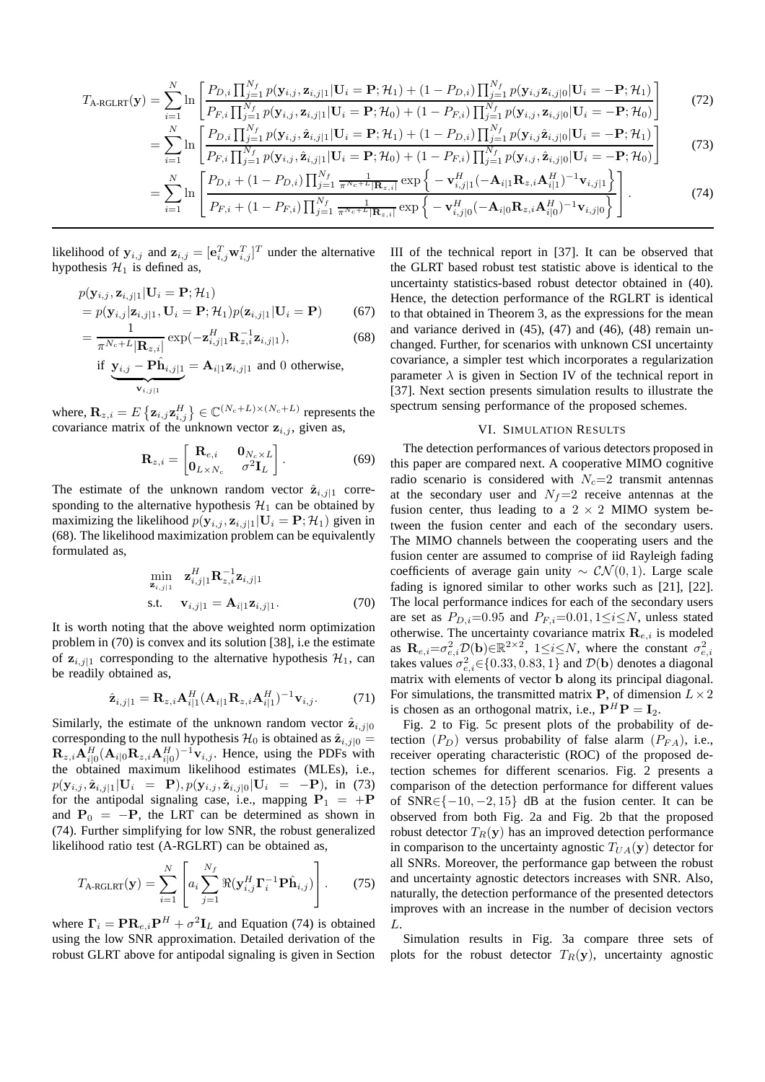$$
T_{\text{A-RGLRT}}(\mathbf{y}) = \sum_{i=1}^{N} \ln \left[ \frac{P_{D,i} \prod_{j=1}^{N_f} p(\mathbf{y}_{i,j}, \mathbf{z}_{i,j|1} | \mathbf{U}_i = \mathbf{P}; \mathcal{H}_1) + (1 - P_{D,i}) \prod_{j=1}^{N_f} p(\mathbf{y}_{i,j} \mathbf{z}_{i,j|0} | \mathbf{U}_i = -\mathbf{P}; \mathcal{H}_1)}{P_{F,i} \prod_{j=1}^{N_f} p(\mathbf{y}_{i,j}, \mathbf{z}_{i,j|1} | \mathbf{U}_i = \mathbf{P}; \mathcal{H}_0) + (1 - P_{F,i}) \prod_{j=1}^{N_f} p(\mathbf{y}_{i,j}, \mathbf{z}_{i,j|0} | \mathbf{U}_i = -\mathbf{P}; \mathcal{H}_0)} \right]
$$
(72)

$$
\sum_{i=1}^{N} \left[ P_{F,i} \prod_{j=1}^{N_f} p(\mathbf{y}_{i,j}, \mathbf{z}_{i,j|1} | \mathbf{U}_i = \mathbf{P}; \mathcal{H}_0) + (1 - P_{F,i}) \prod_{j=1}^{N_f} p(\mathbf{y}_{i,j}, \mathbf{z}_{i,j|0} | \mathbf{U}_i = -\mathbf{P}; \mathcal{H}_0) \right]
$$
\n
$$
= \sum_{i=1}^{N} \ln \left[ \frac{P_{D,i} \prod_{j=1}^{N_f} p(\mathbf{y}_{i,j}, \hat{\mathbf{z}}_{i,j|1} | \mathbf{U}_i = \mathbf{P}; \mathcal{H}_1) + (1 - P_{D,i}) \prod_{j=1}^{N_f} p(\mathbf{y}_{i,j} \hat{\mathbf{z}}_{i,j|0} | \mathbf{U}_i = -\mathbf{P}; \mathcal{H}_1) \right]
$$
\n
$$
\sum_{i=1}^{N_f} \ln \left[ \frac{P_{F,i} \prod_{j=1}^{N_f} p(\mathbf{y}_{i,j}, \hat{\mathbf{z}}_{i,j|1} | \mathbf{U}_i = \mathbf{P}; \mathcal{H}_0) + (1 - P_{F,i}) \prod_{j=1}^{N_f} p(\mathbf{y}_{i,j}, \hat{\mathbf{z}}_{i,j|0} | \mathbf{U}_i = -\mathbf{P}; \mathcal{H}_0) \right]
$$
\n(73)

$$
= \sum_{i=1}^{N} \ln \left[ P_{F,i} \prod_{j=1}^{N_f} p(\mathbf{y}_{i,j}, \hat{\mathbf{z}}_{i,j|1} | \mathbf{U}_i = \mathbf{P}; \mathcal{H}_0) + (1 - P_{F,i}) \prod_{j=1}^{N_f} p(\mathbf{y}_{i,j}, \hat{\mathbf{z}}_{i,j|0} | \mathbf{U}_i = -\mathbf{P}; \mathcal{H}_0) \right]
$$
\n
$$
= \sum_{i=1}^{N} \ln \left[ \frac{P_{D,i} + (1 - P_{D,i}) \prod_{j=1}^{N_f} \frac{1}{\pi^{N_c + L} |\mathbf{R}_{z,i}|} \exp \left\{ -\mathbf{v}_{i,j|1}^H (-\mathbf{A}_{i|1} \mathbf{R}_{z,i} \mathbf{A}_{i|1}^H)^{-1} \mathbf{v}_{i,j|1} \right\}}{P_{F,i} + (1 - P_{F,i}) \prod_{j=1}^{N_f} \frac{1}{\pi^{N_c + L} |\mathbf{R}_{z,i}|} \exp \left\{ -\mathbf{v}_{i,j|0}^H (-\mathbf{A}_{i|0} \mathbf{R}_{z,i} \mathbf{A}_{i|0}^H)^{-1} \mathbf{v}_{i,j|0} \right\}} \right].
$$
\n(74)

likelihood of  $y_{i,j}$  and  $z_{i,j} = [\mathbf{e}_{i,j}^T \mathbf{w}_{i,j}^T]^T$  under the alternative hypothesis  $\mathcal{H}_1$  is defined as,

$$
p(\mathbf{y}_{i,j}, \mathbf{z}_{i,j|1} | \mathbf{U}_i = \mathbf{P}; \mathcal{H}_1)
$$
  
=  $p(\mathbf{y}_{i,j} | \mathbf{z}_{i,j|1}, \mathbf{U}_i = \mathbf{P}; \mathcal{H}_1) p(\mathbf{z}_{i,j|1} | \mathbf{U}_i = \mathbf{P})$  (67)

$$
=\frac{1}{\pi^{N_c+L}|\mathbf{R}_{z,i}|}\exp(-\mathbf{z}_{i,j|1}^H\mathbf{R}_{z,i}^{-1}\mathbf{z}_{i,j|1}),
$$
(68)

if 
$$
\underbrace{\mathbf{y}_{i,j} - \mathbf{P}\hat{\mathbf{h}}_{i,j|1}}_{\mathbf{v}_{i,j|1}} = \mathbf{A}_{i|1}\mathbf{z}_{i,j|1}
$$
 and 0 otherwise,

where,  $\mathbf{R}_{z,i} = E \left\{ \mathbf{z}_{i,j} \mathbf{z}_{i,j}^H \right\} \in \mathbb{C}^{(N_c+L) \times (N_c+L)}$  represents the covariance matrix of the unknown vector  $z_{i,j}$ , given as,

$$
\mathbf{R}_{z,i} = \begin{bmatrix} \mathbf{R}_{e,i} & \mathbf{0}_{N_c \times L} \\ \mathbf{0}_{L \times N_c} & \sigma^2 \mathbf{I}_L \end{bmatrix} . \tag{69}
$$

The estimate of the unknown random vector  $\hat{\mathbf{z}}_{i,j|1}$  corresponding to the alternative hypothesis  $\mathcal{H}_1$  can be obtained by maximizing the likelihood  $p(\mathbf{y}_{i,j}, \mathbf{z}_{i,j|1} | \mathbf{U}_i = \mathbf{P}; \mathcal{H}_1)$  given in (68). The likelihood maximization problem can be equivalently formulated as,

$$
\min_{\mathbf{z}_{i,j|1}} \quad \mathbf{z}_{i,j|1}^H \mathbf{R}_{z,i}^{-1} \mathbf{z}_{i,j|1}
$$
\n
$$
\text{s.t.} \quad \mathbf{v}_{i,j|1} = \mathbf{A}_{i|1} \mathbf{z}_{i,j|1}. \tag{70}
$$

It is worth noting that the above weighted norm optimization problem in (70) is convex and its solution [38], i.e the estimate of  $z_{i,j|1}$  corresponding to the alternative hypothesis  $\mathcal{H}_1$ , can be readily obtained as,

$$
\hat{\mathbf{z}}_{i,j|1} = \mathbf{R}_{z,i} \mathbf{A}_{i|1}^H (\mathbf{A}_{i|1} \mathbf{R}_{z,i} \mathbf{A}_{i|1}^H)^{-1} \mathbf{v}_{i,j}.
$$
 (71)

Similarly, the estimate of the unknown random vector  $\hat{\mathbf{z}}_{i,j|0}$ corresponding to the null hypothesis  $\mathcal{H}_0$  is obtained as  $\hat{\mathbf{z}}_{i,j|0} =$  $\mathbf{R}_{z,i} \mathbf{A}_{i|0}^H (\mathbf{A}_{i|0} \mathbf{R}_{z,i} \mathbf{A}_{i|0}^H)^{-1} \mathbf{v}_{i,j}$ . Hence, using the PDFs with the obtained maximum likelihood estimates (MLEs), i.e.,  $p(\mathbf{y}_{i,j}, \hat{\mathbf{z}}_{i,j|1} | \mathbf{U}_i = \mathbf{P}), p(\mathbf{y}_{i,j}, \hat{\mathbf{z}}_{i,j|0} | \mathbf{U}_i = -\mathbf{P}), \text{ in (73)}$ for the antipodal signaling case, i.e., mapping  $P_1 = +P$ and  $P_0 = -P$ , the LRT can be determined as shown in (74). Further simplifying for low SNR, the robust generalized likelihood ratio test (A-RGLRT) can be obtained as,

$$
T_{\text{A-RGLRT}}(\mathbf{y}) = \sum_{i=1}^{N} \left[ a_i \sum_{j=1}^{N_f} \Re(\mathbf{y}_{i,j}^H \mathbf{\Gamma}_i^{-1} \mathbf{P} \hat{\mathbf{h}}_{i,j}) \right].
$$
 (75)

where  $\Gamma_i = \mathbf{PR}_{e,i} \mathbf{P}^H + \sigma^2 \mathbf{I}_L$  and Equation (74) is obtained using the low SNR approximation. Detailed derivation of the robust GLRT above for antipodal signaling is given in Section III of the technical report in [37]. It can be observed that the GLRT based robust test statistic above is identical to the uncertainty statistics-based robust detector obtained in (40). Hence, the detection performance of the RGLRT is identical to that obtained in Theorem 3, as the expressions for the mean and variance derived in (45), (47) and (46), (48) remain unchanged. Further, for scenarios with unknown CSI uncertainty covariance, a simpler test which incorporates a regularization parameter  $\lambda$  is given in Section IV of the technical report in [37]. Next section presents simulation results to illustrate the spectrum sensing performance of the proposed schemes.

# VI. SIMULATION RESULTS

The detection performances of various detectors proposed in this paper are compared next. A cooperative MIMO cognitive radio scenario is considered with  $N_c=2$  transmit antennas at the secondary user and  $N_f=2$  receive antennas at the fusion center, thus leading to a  $2 \times 2$  MIMO system between the fusion center and each of the secondary users. The MIMO channels between the cooperating users and the fusion center are assumed to comprise of iid Rayleigh fading coefficients of average gain unity  $\sim \mathcal{CN}(0, 1)$ . Large scale fading is ignored similar to other works such as [21], [22]. The local performance indices for each of the secondary users are set as  $P_{D,i}=0.95$  and  $P_{F,i}=0.01, 1\leq i\leq N$ , unless stated otherwise. The uncertainty covariance matrix  $\mathbf{R}_{e,i}$  is modeled as  $\mathbf{R}_{e,i} = \sigma_{e,i}^2 \mathcal{D}(\mathbf{b}) \in \mathbb{R}^{2 \times 2}$ ,  $1 \leq i \leq N$ , where the constant  $\sigma_{e,i}^2$ takes values  $\sigma_{e,i}^2 \in \{0.33, 0.83, 1\}$  and  $\mathcal{D}(\mathbf{b})$  denotes a diagonal matrix with elements of vector b along its principal diagonal. For simulations, the transmitted matrix P, of dimension  $L \times 2$ is chosen as an orthogonal matrix, i.e.,  $P^{H}P = I_{2}$ .

Fig. 2 to Fig. 5c present plots of the probability of detection  $(P_D)$  versus probability of false alarm  $(P_{FA})$ , i.e., receiver operating characteristic (ROC) of the proposed detection schemes for different scenarios. Fig. 2 presents a comparison of the detection performance for different values of SNR∈{ $-10, -2, 15$ } dB at the fusion center. It can be observed from both Fig. 2a and Fig. 2b that the proposed robust detector  $T_R(y)$  has an improved detection performance in comparison to the uncertainty agnostic  $T_{UA}(\mathbf{y})$  detector for all SNRs. Moreover, the performance gap between the robust and uncertainty agnostic detectors increases with SNR. Also, naturally, the detection performance of the presented detectors improves with an increase in the number of decision vectors L.

Simulation results in Fig. 3a compare three sets of plots for the robust detector  $T_R(\mathbf{y})$ , uncertainty agnostic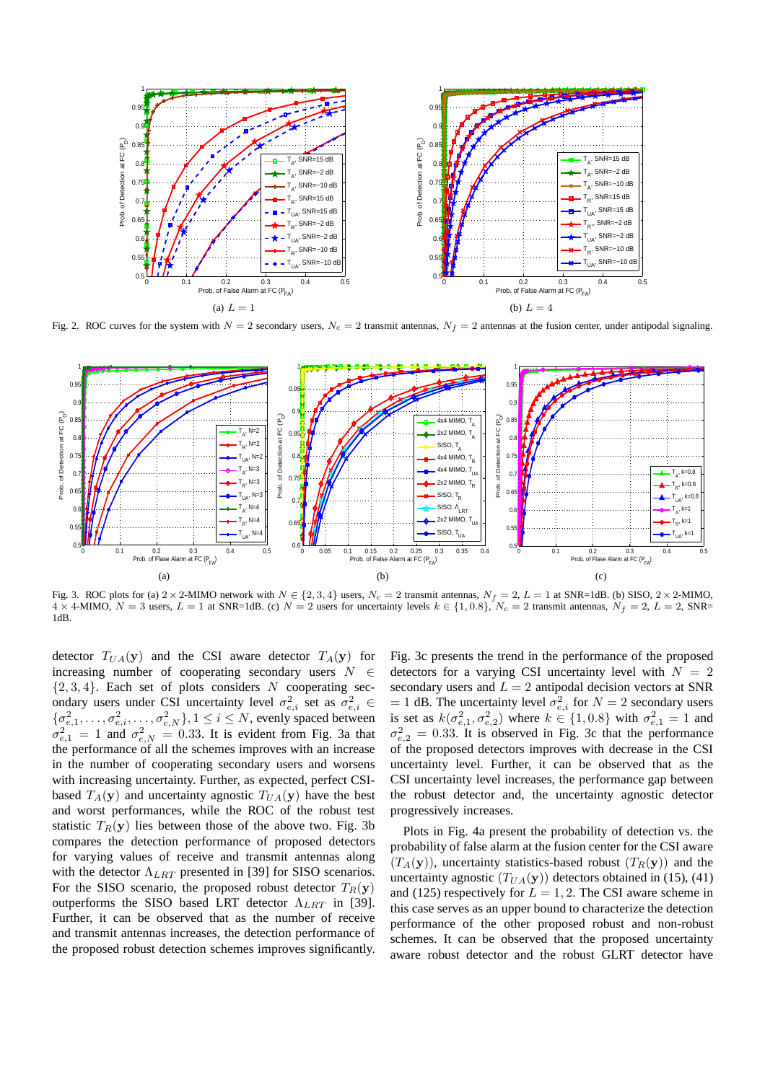

Fig. 2. ROC curves for the system with  $N = 2$  secondary users,  $N_c = 2$  transmit antennas,  $N_f = 2$  antennas at the fusion center, under antipodal signaling.



Fig. 3. ROC plots for (a)  $2 \times 2$ -MIMO network with  $N \in \{2, 3, 4\}$  users,  $N_c = 2$  transmit antennas,  $N_f = 2$ ,  $L = 1$  at SNR=1dB. (b) SISO,  $2 \times 2$ -MIMO,  $4 \times 4$ -MIMO,  $N = 3$  users,  $L = 1$  at SNR=1dB. (c)  $N = 2$  users for uncertainty levels  $k \in \{1, 0.8\}$ ,  $N_c = 2$  transmit antennas,  $N_f = 2$ ,  $L = 2$ , SNR= 1dB.

detector  $T_{UA}(\mathbf{y})$  and the CSI aware detector  $T_A(\mathbf{y})$  for increasing number of cooperating secondary users  $N \in$  $\{2, 3, 4\}$ . Each set of plots considers N cooperating secondary users under CSI uncertainty level  $\sigma_{e,i}^2$  set as  $\sigma_{e,i}^2 \in$  $\{\sigma_{e,1}^2,\ldots,\sigma_{e,i}^2,\ldots,\sigma_{e,N}^2\}, 1 \leq i \leq N$ , evenly spaced between  $\sigma_{e,1}^2 = 1$  and  $\sigma_{e,N}^2 = 0.33$ . It is evident from Fig. 3a that the performance of all the schemes improves with an increase in the number of cooperating secondary users and worsens with increasing uncertainty. Further, as expected, perfect CSIbased  $T_A(\mathbf{y})$  and uncertainty agnostic  $T_{UA}(\mathbf{y})$  have the best and worst performances, while the ROC of the robust test statistic  $T_R(y)$  lies between those of the above two. Fig. 3b compares the detection performance of proposed detectors for varying values of receive and transmit antennas along with the detector  $\Lambda_{LBT}$  presented in [39] for SISO scenarios. For the SISO scenario, the proposed robust detector  $T_R(\mathbf{y})$ outperforms the SISO based LRT detector  $\Lambda_{LRT}$  in [39]. Further, it can be observed that as the number of receive and transmit antennas increases, the detection performance of the proposed robust detection schemes improves significantly.

Fig. 3c presents the trend in the performance of the proposed detectors for a varying CSI uncertainty level with  $N = 2$ secondary users and  $L = 2$  antipodal decision vectors at SNR = 1 dB. The uncertainty level  $\sigma_{e,i}^2$  for  $N = 2$  secondary users is set as  $k(\sigma_{e,1}^2, \sigma_{e,2}^2)$  where  $k \in \{1, 0.8\}$  with  $\sigma_{e,1}^2 = 1$  and  $\sigma_{e,2}^2 = 0.33$ . It is observed in Fig. 3c that the performance of the proposed detectors improves with decrease in the CSI uncertainty level. Further, it can be observed that as the CSI uncertainty level increases, the performance gap between the robust detector and, the uncertainty agnostic detector progressively increases.

Plots in Fig. 4a present the probability of detection vs. the probability of false alarm at the fusion center for the CSI aware  $(T_A(\mathbf{y}))$ , uncertainty statistics-based robust  $(T_R(\mathbf{y}))$  and the uncertainty agnostic  $(T_{UA}(\mathbf{y}))$  detectors obtained in (15), (41) and (125) respectively for  $L = 1, 2$ . The CSI aware scheme in this case serves as an upper bound to characterize the detection performance of the other proposed robust and non-robust schemes. It can be observed that the proposed uncertainty aware robust detector and the robust GLRT detector have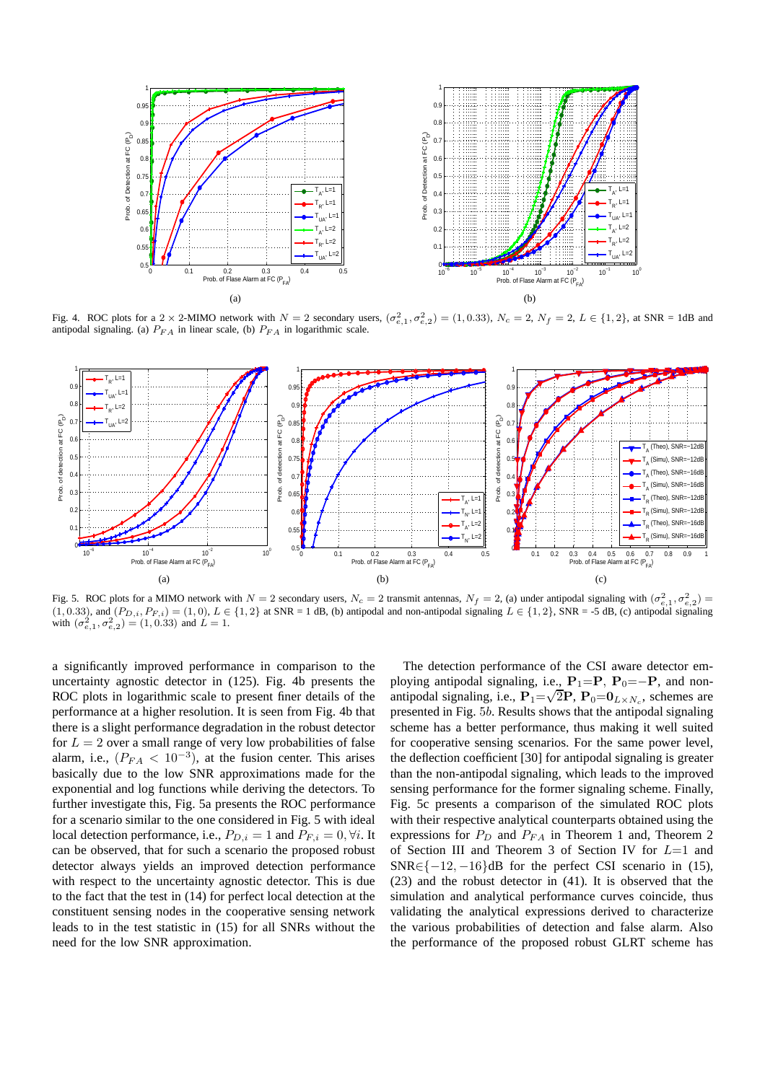

Fig. 4. ROC plots for a 2 × 2-MIMO network with  $N = 2$  secondary users,  $(\sigma_{e,1}^2, \sigma_{e,2}^2) = (1, 0.33)$ ,  $N_c = 2$ ,  $N_f = 2$ ,  $L \in \{1, 2\}$ , at SNR = 1dB and antipodal signaling. (a)  $P_{FA}$  in linear scale, (b)  $P_{FA}$  in logarithmic scale.



Fig. 5. ROC plots for a MIMO network with  $N = 2$  secondary users,  $N_c = 2$  transmit antennas,  $N_f = 2$ , (a) under antipodal signaling with  $(\sigma_{e,1}^2, \sigma_{e,2}^2)$  = (1, 0.33), and  $(P_{D,i}, P_{F,i}) = (1, 0), L \in \{1, 2\}$  at SNR = 1 dB, (b) antipodal and non-antipodal signaling  $L \in \{1, 2\}$ , SNR = -5 dB, (c) antipodal signaling with  $(\sigma_{e,1}^2, \sigma_{e,2}^2) = (1, 0.33)$  and  $L = 1$ .

a significantly improved performance in comparison to the uncertainty agnostic detector in (125). Fig. 4b presents the ROC plots in logarithmic scale to present finer details of the performance at a higher resolution. It is seen from Fig. 4b that there is a slight performance degradation in the robust detector for  $L = 2$  over a small range of very low probabilities of false alarm, i.e.,  $(P_{FA} < 10^{-3})$ , at the fusion center. This arises basically due to the low SNR approximations made for the exponential and log functions while deriving the detectors. To further investigate this, Fig. 5a presents the ROC performance for a scenario similar to the one considered in Fig. 5 with ideal local detection performance, i.e.,  $P_{D,i} = 1$  and  $P_{F,i} = 0, \forall i$ . It can be observed, that for such a scenario the proposed robust detector always yields an improved detection performance with respect to the uncertainty agnostic detector. This is due to the fact that the test in (14) for perfect local detection at the constituent sensing nodes in the cooperative sensing network leads to in the test statistic in (15) for all SNRs without the need for the low SNR approximation.

The detection performance of the CSI aware detector employing antipodal signaling, i.e.,  $P_1=$ P,  $P_0=-$ P, and nonantipodal signaling, i.e.,  $P_1 = \sqrt{2}P$ ,  $P_0 = 0_{L \times N_c}$ , schemes are presented in Fig. 5b. Results shows that the antipodal signaling scheme has a better performance, thus making it well suited for cooperative sensing scenarios. For the same power level, the deflection coefficient [30] for antipodal signaling is greater than the non-antipodal signaling, which leads to the improved sensing performance for the former signaling scheme. Finally, Fig. 5c presents a comparison of the simulated ROC plots with their respective analytical counterparts obtained using the expressions for  $P_D$  and  $P_{FA}$  in Theorem 1 and, Theorem 2 of Section III and Theorem 3 of Section IV for  $L=1$  and  $SNR \in \{-12, -16\}$ dB for the perfect CSI scenario in (15), (23) and the robust detector in (41). It is observed that the simulation and analytical performance curves coincide, thus validating the analytical expressions derived to characterize the various probabilities of detection and false alarm. Also the performance of the proposed robust GLRT scheme has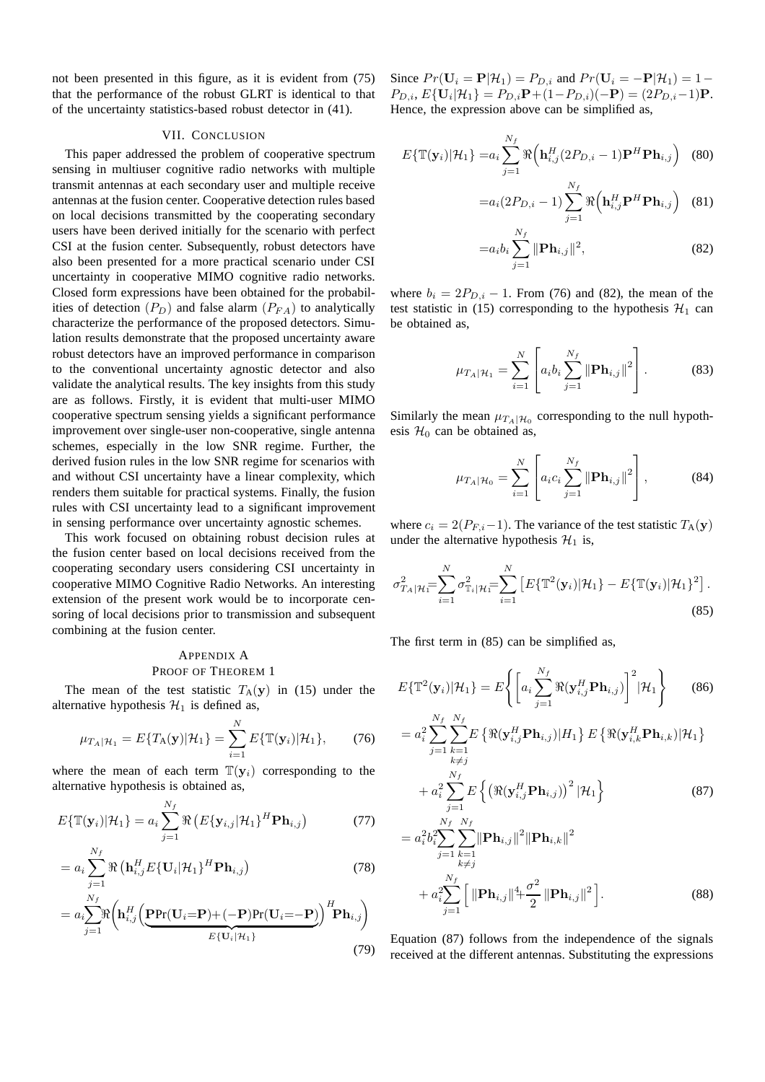not been presented in this figure, as it is evident from (75) that the performance of the robust GLRT is identical to that of the uncertainty statistics-based robust detector in (41).

#### VII. CONCLUSION

This paper addressed the problem of cooperative spectrum sensing in multiuser cognitive radio networks with multiple transmit antennas at each secondary user and multiple receive antennas at the fusion center. Cooperative detection rules based on local decisions transmitted by the cooperating secondary users have been derived initially for the scenario with perfect CSI at the fusion center. Subsequently, robust detectors have also been presented for a more practical scenario under CSI uncertainty in cooperative MIMO cognitive radio networks. Closed form expressions have been obtained for the probabilities of detection  $(P_D)$  and false alarm  $(P_{FA})$  to analytically characterize the performance of the proposed detectors. Simulation results demonstrate that the proposed uncertainty aware robust detectors have an improved performance in comparison to the conventional uncertainty agnostic detector and also validate the analytical results. The key insights from this study are as follows. Firstly, it is evident that multi-user MIMO cooperative spectrum sensing yields a significant performance improvement over single-user non-cooperative, single antenna schemes, especially in the low SNR regime. Further, the derived fusion rules in the low SNR regime for scenarios with and without CSI uncertainty have a linear complexity, which renders them suitable for practical systems. Finally, the fusion rules with CSI uncertainty lead to a significant improvement in sensing performance over uncertainty agnostic schemes.

This work focused on obtaining robust decision rules at the fusion center based on local decisions received from the cooperating secondary users considering CSI uncertainty in cooperative MIMO Cognitive Radio Networks. An interesting extension of the present work would be to incorporate censoring of local decisions prior to transmission and subsequent combining at the fusion center.

# APPENDIX A PROOF OF THEOREM 1

The mean of the test statistic  $T_A(y)$  in (15) under the alternative hypothesis  $\mathcal{H}_1$  is defined as,

$$
\mu_{T_A|\mathcal{H}_1} = E\{T_A(\mathbf{y})|\mathcal{H}_1\} = \sum_{i=1}^N E\{\mathbb{T}(\mathbf{y}_i)|\mathcal{H}_1\},\qquad(76)
$$

where the mean of each term  $\mathbb{T}(\mathbf{y}_i)$  corresponding to the alternative hypothesis is obtained as,

$$
E{\{\mathbb{T}(\mathbf{y}_i)|\mathcal{H}_1\}} = a_i \sum_{j=1}^{N_f} \Re\left(E{\{\mathbf{y}_{i,j}|\mathcal{H}_1\}}^H \mathbf{Ph}_{i,j}\right)
$$
(77)

$$
= a_i \sum_{j=1}^{N_f} \Re\left(\mathbf{h}_{i,j}^H E\{\mathbf{U}_i|\mathcal{H}_1\}^H \mathbf{P} \mathbf{h}_{i,j}\right)
$$
(78)

$$
=a_i \sum_{j=1}^{N_f} \Re \left(\mathbf{h}_{i,j}^H \left(\underbrace{\mathbf{P} \Pr(\mathbf{U}_i = \mathbf{P}) + (-\mathbf{P}) \Pr(\mathbf{U}_i = -\mathbf{P})}_{E\{\mathbf{U}_i | \mathcal{H}_1\}}\right)^H \mathbf{P} \mathbf{h}_{i,j}\right)
$$
(79)

Since  $Pr(\mathbf{U}_i = \mathbf{P}|\mathcal{H}_1) = P_{D,i}$  and  $Pr(\mathbf{U}_i = -\mathbf{P}|\mathcal{H}_1) = 1$  $P_{D,i}, E\{\mathbf{U}_i|\mathcal{H}_1\} = P_{D,i}\mathbf{P} + (1 - P_{D,i})(-\mathbf{P}) = (2P_{D,i} - 1)\mathbf{P}.$ Hence, the expression above can be simplified as,

$$
E{\{\mathbb{T}(\mathbf{y}_i)|\mathcal{H}_1\}} = a_i \sum_{j=1}^{N_f} \Re{\left(\mathbf{h}_{i,j}^H(2P_{D,i}-1)\mathbf{P}^H \mathbf{P} \mathbf{h}_{i,j}\right)}
$$
(80)

$$
=a_i(2P_{D,i}-1)\sum_{j=1}^{N_f}\Re\left(\mathbf{h}_{i,j}^H\mathbf{P}^H\mathbf{P}\mathbf{h}_{i,j}\right)
$$
 (81)

$$
=a_i b_i \sum_{j=1}^{N_f} ||\mathbf{Ph}_{i,j}||^2,
$$
\n(82)

where  $b_i = 2P_{D,i} - 1$ . From (76) and (82), the mean of the test statistic in (15) corresponding to the hypothesis  $\mathcal{H}_1$  can be obtained as,

$$
\mu_{T_A|\mathcal{H}_1} = \sum_{i=1}^N \left[ a_i b_i \sum_{j=1}^{N_f} ||\mathbf{Ph}_{i,j}||^2 \right].
$$
 (83)

Similarly the mean  $\mu_{T_A|\mathcal{H}_0}$  corresponding to the null hypothesis  $\mathcal{H}_0$  can be obtained as,

$$
\mu_{T_A|\mathcal{H}_0} = \sum_{i=1}^N \left[ a_i c_i \sum_{j=1}^{N_f} ||\mathbf{Ph}_{i,j}||^2 \right],
$$
 (84)

where  $c_i = 2(P_{F,i}-1)$ . The variance of the test statistic  $T_A(\mathbf{y})$ under the alternative hypothesis  $\mathcal{H}_1$  is,

$$
\sigma_{T_A|\mathcal{H}_1}^2 = \sum_{i=1}^N \sigma_{T_i|\mathcal{H}_1}^2 = \sum_{i=1}^N \left[ E\{\mathbb{T}^2(\mathbf{y}_i)|\mathcal{H}_1\} - E\{\mathbb{T}(\mathbf{y}_i)|\mathcal{H}_1\}^2 \right].
$$
\n(85)

The first term in (85) can be simplified as,

$$
E\{\mathbb{T}^{2}(\mathbf{y}_{i})|\mathcal{H}_{1}\} = E\Biggl\{\Biggl[a_{i}\sum_{j=1}^{N_{f}}\Re(\mathbf{y}_{i,j}^{H}\mathbf{Ph}_{i,j})\Biggr]^{2}|\mathcal{H}_{1}\Biggr\}
$$
(86)  
\n
$$
= a_{i}^{2}\sum_{j=1}^{N_{f}}\sum_{k=1}^{N_{f}}E\left\{\Re(\mathbf{y}_{i,j}^{H}\mathbf{Ph}_{i,j})|H_{1}\right\}E\left\{\Re(\mathbf{y}_{i,k}^{H}\mathbf{Ph}_{i,k})|\mathcal{H}_{1}\right\}
$$
  
\n
$$
+ a_{i}^{2}\sum_{j=1}^{N_{f}}E\left\{\left(\Re(\mathbf{y}_{i,j}^{H}\mathbf{Ph}_{i,j})\right)^{2}|\mathcal{H}_{1}\right\}
$$
(87)  
\n
$$
= a_{i}^{2}b_{i}^{2}\sum_{j=1}^{N_{f}}\sum_{\substack{k=1\\k\neq j}}^{N_{f}}\|\mathbf{Ph}_{i,j}\|^{2}\|\mathbf{Ph}_{i,k}\|^{2}
$$
  
\n
$$
+ a_{i}^{2}\sum_{j=1}^{N_{f}}\Biggl[\|\mathbf{Ph}_{i,j}\|^{4}+\frac{\sigma^{2}}{2}\|\mathbf{Ph}_{i,j}\|^{2}\Biggr].
$$
(88)

Equation (87) follows from the independence of the signals received at the different antennas. Substituting the expressions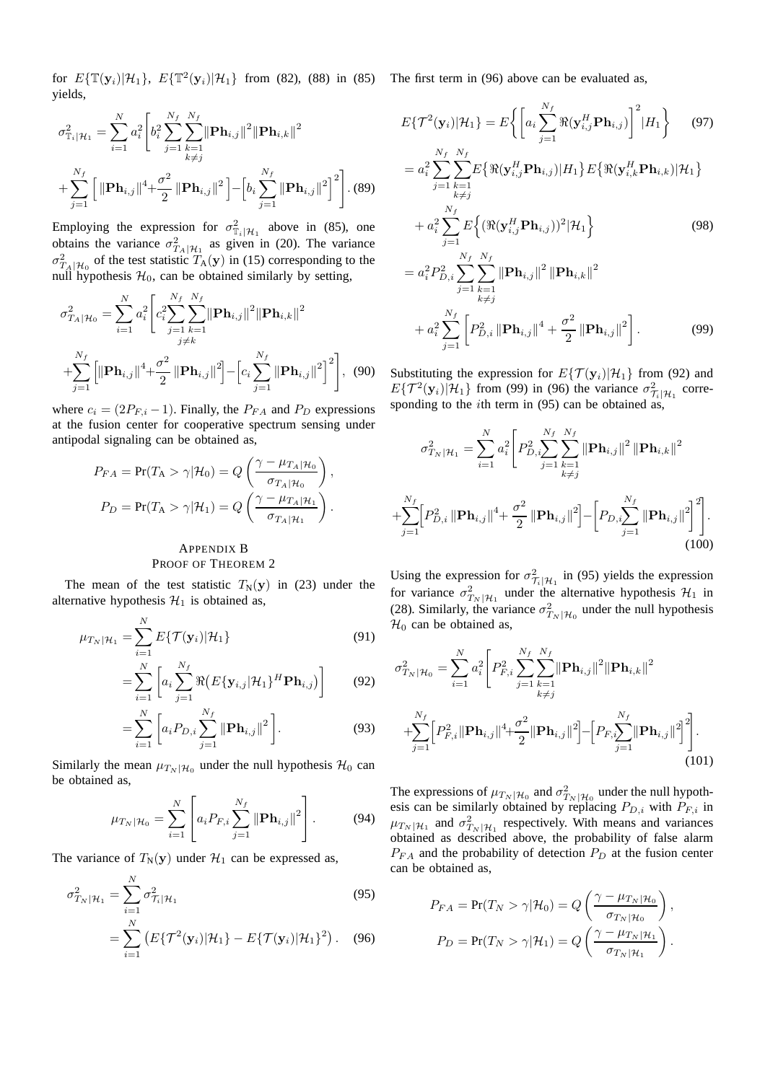for  $E{\{\mathbb{T}(y_i)|\mathcal{H}_1\}}$ ,  $E{\{\mathbb{T}^2(y_i)|\mathcal{H}_1\}}$  from (82), (88) in (85) The first term in (96) above can be evaluated as, yields,

$$
\sigma_{\mathbb{T}_{i}|\mathcal{H}_{1}}^{2} = \sum_{i=1}^{N} a_{i}^{2} \left[ b_{i}^{2} \sum_{j=1}^{N_{f}} \sum_{k=1}^{N_{f}} ||\mathbf{Ph}_{i,j}||^{2} ||\mathbf{Ph}_{i,k}||^{2} + \sum_{j=1}^{N_{f}} \left[ ||\mathbf{Ph}_{i,j}||^{4} + \frac{\sigma^{2}}{2} ||\mathbf{Ph}_{i,j}||^{2} \right] - \left[ b_{i} \sum_{j=1}^{N_{f}} ||\mathbf{Ph}_{i,j}||^{2} \right]^{2} \right]. (89)
$$

Employing the expression for  $\sigma_{\mathbb{T}_i|\mathcal{H}_1}^2$  above in (85), one obtains the variance  $\sigma_{T_A|\mathcal{H}_1}^2$  as given in (20). The variance  $\sigma_{T_A|\mathcal{H}_0}^2$  of the test statistic  $T_A(\mathbf{y})$  in (15) corresponding to the null hypothesis  $\mathcal{H}_0$ , can be obtained similarly by setting,

$$
\sigma_{T_A|\mathcal{H}_0}^2 = \sum_{i=1}^N a_i^2 \left[ c_i^2 \sum_{j=1}^{N_f} \sum_{k=1}^{N_f} \|\mathbf{Ph}_{i,j}\|^2 \|\mathbf{Ph}_{i,k}\|^2 + \sum_{j=1}^{N_f} \left[ \|\mathbf{Ph}_{i,j}\|^4 + \frac{\sigma^2}{2} \|\mathbf{Ph}_{i,j}\|^2 \right] - \left[ c_i \sum_{j=1}^{N_f} \|\mathbf{Ph}_{i,j}\|^2 \right]^2 \right], \tag{90}
$$

where  $c_i = (2P_{F,i} - 1)$ . Finally, the  $P_{FA}$  and  $P_D$  expressions at the fusion center for cooperative spectrum sensing under antipodal signaling can be obtained as,

$$
P_{FA} = \Pr(T_A > \gamma | \mathcal{H}_0) = Q\left(\frac{\gamma - \mu_{T_A | \mathcal{H}_0}}{\sigma_{T_A | \mathcal{H}_0}}\right),
$$

$$
P_D = \Pr(T_A > \gamma | \mathcal{H}_1) = Q\left(\frac{\gamma - \mu_{T_A | \mathcal{H}_1}}{\sigma_{T_A | \mathcal{H}_1}}\right).
$$

#### APPENDIX B PROOF OF THEOREM 2

The mean of the test statistic  $T_N(y)$  in (23) under the alternative hypothesis  $\mathcal{H}_1$  is obtained as,

$$
\mu_{T_N|\mathcal{H}_1} = \sum_{i=1}^N E\{\mathcal{T}(\mathbf{y}_i)|\mathcal{H}_1\} \tag{91}
$$

$$
= \sum_{i=1}^{N} \left[ a_i \sum_{j=1}^{N_f} \Re \left( E \{ \mathbf{y}_{i,j} | \mathcal{H}_1 \}^H \mathbf{P} \mathbf{h}_{i,j} \right) \right]
$$
(92)

$$
= \sum_{i=1}^{N} \left[ a_i P_{D,i} \sum_{j=1}^{N_f} ||\mathbf{Ph}_{i,j}||^2 \right].
$$
 (93)

Similarly the mean  $\mu_{T_N|\mathcal{H}_0}$  under the null hypothesis  $\mathcal{H}_0$  can be obtained as,

$$
\mu_{T_N|\mathcal{H}_0} = \sum_{i=1}^N \left[ a_i P_{F,i} \sum_{j=1}^{N_f} \|\mathbf{Ph}_{i,j}\|^2 \right].
$$
 (94)

The variance of  $T_N(y)$  under  $\mathcal{H}_1$  can be expressed as,

$$
\sigma_{T_N|\mathcal{H}_1}^2 = \sum_{i=1}^N \sigma_{\mathcal{T}_i|\mathcal{H}_1}^2 \tag{95}
$$

$$
= \sum_{i=1}^{N} \left( E\{\mathcal{T}^2(\mathbf{y}_i)|\mathcal{H}_1\} - E\{\mathcal{T}(\mathbf{y}_i)|\mathcal{H}_1\}^2 \right). \quad (96)
$$

$$
E\{\mathcal{T}^2(\mathbf{y}_i)|\mathcal{H}_1\} = E\bigg\{\bigg[a_i\sum_{j=1}^{N_f} \Re(\mathbf{y}_{i,j}^H\mathbf{P}\mathbf{h}_{i,j})\bigg]^2 | H_1\bigg\} \qquad (97)
$$

$$
= a_i^2 \sum_{j=1} \sum_{k=1} E\{\Re(\mathbf{y}_{i,j}^H \mathbf{P} \mathbf{h}_{i,j}) | H_1\} E\{\Re(\mathbf{y}_{i,k}^H \mathbf{P} \mathbf{h}_{i,k}) | \mathcal{H}_1\}
$$
  
+ 
$$
a_i^2 \sum_{j=1}^{N_f} E\left\{ (\Re(\mathbf{y}_{i,j}^H \mathbf{P} \mathbf{h}_{i,j}))^2 | \mathcal{H}_1\right\}
$$
(98)

$$
= a_i^2 P_{D,i}^2 \sum_{j=1}^{\infty} \sum_{\substack{k=1 \ k \neq j}}^{\infty} \|\mathbf{Ph}_{i,j}\|^2 \|\mathbf{Ph}_{i,k}\|^2
$$
  
+ 
$$
a_i^2 \sum_{j=1}^{N_f} \left[ P_{D,i}^2 \|\mathbf{Ph}_{i,j}\|^4 + \frac{\sigma^2}{2} \|\mathbf{Ph}_{i,j}\|^2 \right].
$$
 (99)

Substituting the expression for  $E{\mathcal{T}(\mathbf{y}_i)|\mathcal{H}_1}$  from (92) and  $E\{\mathcal{T}^2(\mathbf{y}_i)|\mathcal{H}_1\}$  from (99) in (96) the variance  $\sigma^2_{\mathcal{T}}$  $\frac{2}{\tau_i|\mathcal{H}_1}$  corresponding to the *i*th term in  $(95)$  can be obtained as,

$$
\sigma_{T_N|\mathcal{H}_1}^2 = \sum_{i=1}^N a_i^2 \left[ P_{D,i}^2 \sum_{j=1}^{N_f} \sum_{k=1}^{N_f} \|\mathbf{Ph}_{i,j}\|^2 \|\mathbf{Ph}_{i,k}\|^2 + \sum_{j=1}^{N_f} \left[ P_{D,i}^2 \|\mathbf{Ph}_{i,j}\|^4 + \frac{\sigma^2}{2} \|\mathbf{Ph}_{i,j}\|^2 \right] - \left[ P_{D,i} \sum_{j=1}^{N_f} \|\mathbf{Ph}_{i,j}\|^2 \right]^2 \right].
$$
\n(100)

Using the expression for  $\sigma^2$  $\frac{2}{\tau_i}$  in (95) yields the expression for variance  $\sigma_{T_N | H_1}^2$  under the alternative hypothesis  $H_1$  in (28). Similarly, the variance  $\sigma_{T_N|\mathcal{H}_0}^2$  under the null hypothesis  $\mathcal{H}_0$  can be obtained as,

$$
\sigma_{T_N|\mathcal{H}_0}^2 = \sum_{i=1}^N a_i^2 \left[ P_{F,i}^2 \sum_{j=1}^{N_f} \sum_{k=1}^{N_f} \|\mathbf{Ph}_{i,j}\|^2 \|\mathbf{Ph}_{i,k}\|^2 + \sum_{j=1}^{N_f} \left[ P_{F,i}^2 \|\mathbf{Ph}_{i,j}\|^4 + \frac{\sigma^2}{2} \|\mathbf{Ph}_{i,j}\|^2 \right] - \left[ P_{F,i} \sum_{j=1}^{N_f} \|\mathbf{Ph}_{i,j}\|^2 \right]^2 \right].
$$
\n(101)

The expressions of  $\mu_{T_N | H_0}$  and  $\sigma_{T_N | H_0}^2$  under the null hypothesis can be similarly obtained by replacing  $P_{D,i}$  with  $P_{F,i}$  in  $\mu_{T_N|\mathcal{H}_1}$  and  $\sigma_{T_N|\mathcal{H}_1}^2$  respectively. With means and variances obtained as described above, the probability of false alarm  $P_{FA}$  and the probability of detection  $P_D$  at the fusion center can be obtained as,

$$
P_{FA} = \Pr(T_N > \gamma | \mathcal{H}_0) = Q\left(\frac{\gamma - \mu_{T_N | \mathcal{H}_0}}{\sigma_{T_N | \mathcal{H}_0}}\right),
$$

$$
P_D = \Pr(T_N > \gamma | \mathcal{H}_1) = Q\left(\frac{\gamma - \mu_{T_N | \mathcal{H}_1}}{\sigma_{T_N | \mathcal{H}_1}}\right).
$$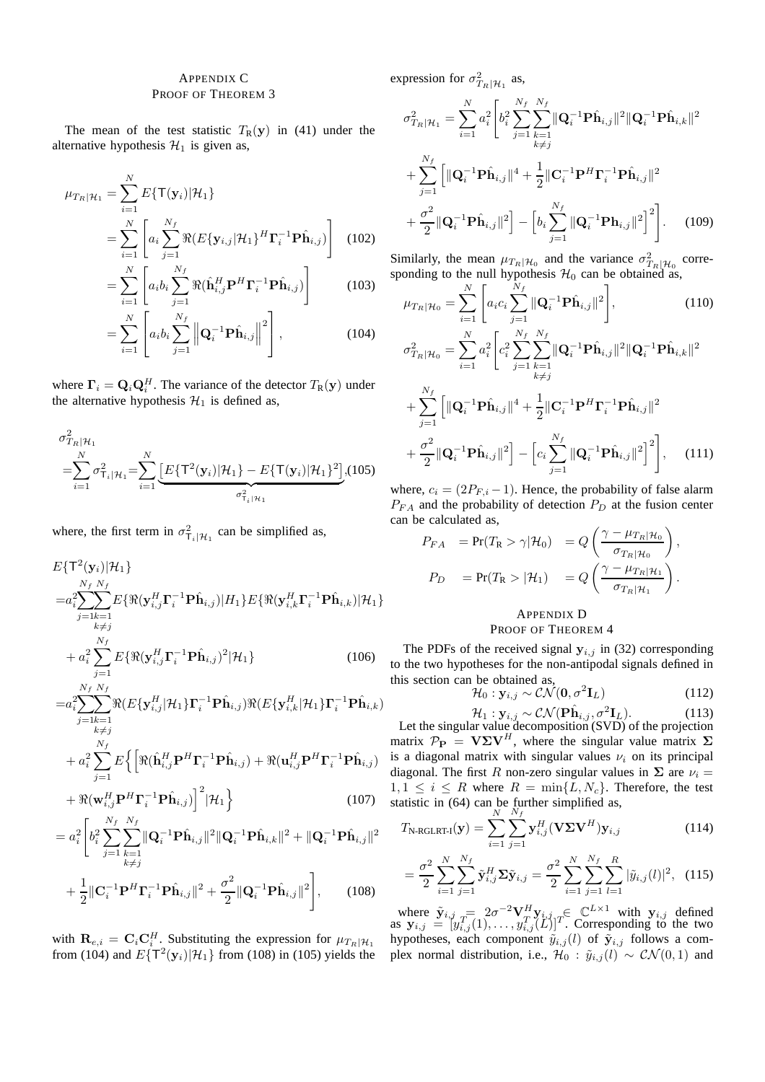### APPENDIX C PROOF OF THEOREM 3

The mean of the test statistic  $T_R(y)$  in (41) under the alternative hypothesis  $\mathcal{H}_1$  is given as,

$$
\mu_{T_R|\mathcal{H}_1} = \sum_{i=1}^N E\{\mathsf{T}(\mathbf{y}_i)|\mathcal{H}_1\} \n= \sum_{i=1}^N \left[ a_i \sum_{j=1}^{N_f} \Re(E\{\mathbf{y}_{i,j}|\mathcal{H}_1\}^H \mathbf{\Gamma}_i^{-1} \mathbf{P} \hat{\mathbf{h}}_{i,j}) \right] \tag{102} \n= \sum_{i=1}^N \left[ a_i b_i \sum_{j=1}^{N_f} \Re(\hat{\mathbf{h}}_{i,j}^H \mathbf{P}^H \mathbf{\Gamma}_i^{-1} \mathbf{P} \hat{\mathbf{h}}_{i,j}) \right] \tag{103}
$$

$$
= \sum_{i=1}^{N} \left[ a_i b_i \sum_{j=1}^{N_f} \left\| \mathbf{Q}_i^{-1} \mathbf{P} \hat{\mathbf{h}}_{i,j} \right\|^2 \right],
$$
 (104)

where  $\mathbf{\Gamma}_i = \mathbf{Q}_i \mathbf{Q}_i^H$ . The variance of the detector  $T_{\text{R}}(\mathbf{y})$  under the alternative hypothesis  $\mathcal{H}_1$  is defined as,

$$
\sigma_{T_R|\mathcal{H}_1}^2 = \sum_{i=1}^N \sigma_{T_i|\mathcal{H}_1}^2 = \sum_{i=1}^N \underbrace{[E\{\mathsf{T}^2(\mathbf{y}_i)|\mathcal{H}_1\} - E\{\mathsf{T}(\mathbf{y}_i)|\mathcal{H}_1\}^2]}_{\sigma_{T_i|\mathcal{H}_1}^2}, (105)
$$

where, the first term in  $\sigma_{\tau_i|\mathcal{H}_1}^2$  can be simplified as,

$$
E\{\mathbf{T}^{2}(\mathbf{y}_{i})|\mathcal{H}_{1}\}=a_{i}^{2}\sum_{j=1,k=1}^{N_{f}}E\{\Re(\mathbf{y}_{i,j}^{H}\mathbf{\Gamma}_{i}^{-1}\mathbf{P}\hat{\mathbf{h}}_{i,j})|H_{1}\}E\{\Re(\mathbf{y}_{i,k}^{H}\mathbf{\Gamma}_{i}^{-1}\mathbf{P}\hat{\mathbf{h}}_{i,k})|\mathcal{H}_{1}\}+a_{i}^{2}\sum_{j=1}^{N_{f}}E\{\Re(\mathbf{y}_{i,j}^{H}\mathbf{\Gamma}_{i}^{-1}\mathbf{P}\hat{\mathbf{h}}_{i,j})^{2}|\mathcal{H}_{1}\}
$$
(106)

$$
=a_i^2 \sum_{j=1}^{N_f} \sum_{k\neq j} \Re(E\{\mathbf{y}_{i,j}^H|\mathcal{H}_1\}\boldsymbol{\Gamma}_i^{-1}\mathbf{P}\hat{\mathbf{h}}_{i,j})\Re(E\{\mathbf{y}_{i,k}^H|\mathcal{H}_1\}\boldsymbol{\Gamma}_i^{-1}\mathbf{P}\hat{\mathbf{h}}_{i,k})
$$
  
+
$$
a_i^2 \sum_{j=1}^{N_f} E\Big\{\Big[\Re(\hat{\mathbf{h}}_{i,j}^H\mathbf{P}^H\boldsymbol{\Gamma}_i^{-1}\mathbf{P}\hat{\mathbf{h}}_{i,j}) + \Re(\mathbf{u}_{i,j}^H\mathbf{P}^H\boldsymbol{\Gamma}_i^{-1}\mathbf{P}\hat{\mathbf{h}}_{i,j})
$$
  
+
$$
\Re(\mathbf{w}_{i,j}^H\mathbf{P}^H\boldsymbol{\Gamma}_i^{-1}\mathbf{P}\hat{\mathbf{h}}_{i,j})\Big]^2 |\mathcal{H}_1\Big\}
$$
(107)

$$
= a_i^2 \left[ b_i^2 \sum_{j=1}^{N_f} \sum_{k=1}^{N_f} ||\mathbf{Q}_i^{-1} \mathbf{P} \hat{\mathbf{h}}_{i,j}||^2 ||\mathbf{Q}_i^{-1} \mathbf{P} \hat{\mathbf{h}}_{i,k}||^2 + ||\mathbf{Q}_i^{-1} \mathbf{P} \hat{\mathbf{h}}_{i,j}||^2 + \frac{1}{2} ||\mathbf{C}_i^{-1} \mathbf{P} \mathbf{P} \mathbf{T}_i^{-1} \mathbf{P} \hat{\mathbf{h}}_{i,j}||^2 + \frac{\sigma^2}{2} ||\mathbf{Q}_i^{-1} \mathbf{P} \hat{\mathbf{h}}_{i,j}||^2 \right],
$$
 (108)

with  $\mathbf{R}_{e,i} = \mathbf{C}_i \mathbf{C}_i^H$ . Substituting the expression for  $\mu_{T_R|\mathcal{H}_1}$ from (104) and  $E\{\mathsf{T}^2(\mathbf{y}_i)|\mathcal{H}_1\}$  from (108) in (105) yields the expression for  $\sigma_{T_R|\mathcal{H}_1}^2$  as,

$$
\sigma_{T_R|\mathcal{H}_1}^2 = \sum_{i=1}^N a_i^2 \left[ b_i^2 \sum_{j=1}^{N_f} \sum_{k=1}^{N_f} ||\mathbf{Q}_i^{-1} \mathbf{P} \hat{\mathbf{h}}_{i,j}||^2 ||\mathbf{Q}_i^{-1} \mathbf{P} \hat{\mathbf{h}}_{i,k}||^2 + \sum_{j=1}^{N_f} \left[ ||\mathbf{Q}_i^{-1} \mathbf{P} \hat{\mathbf{h}}_{i,j}||^4 + \frac{1}{2} ||\mathbf{C}_i^{-1} \mathbf{P}^H \mathbf{\Gamma}_i^{-1} \mathbf{P} \hat{\mathbf{h}}_{i,j}||^2 + \frac{\sigma^2}{2} ||\mathbf{Q}_i^{-1} \mathbf{P} \hat{\mathbf{h}}_{i,j}||^2 \right] - \left[ b_i \sum_{j=1}^{N_f} ||\mathbf{Q}_i^{-1} \mathbf{P} \mathbf{h}_{i,j}||^2 \right]^2 \right].
$$
 (109)

Similarly, the mean  $\mu_{T_R|\mathcal{H}_0}$  and the variance  $\sigma_{T_R|\mathcal{H}_0}^2$  corre-

sponding to the null hypothesis 
$$
\mathcal{H}_0
$$
 can be obtained as,  
\n
$$
\mu_{T_R|\mathcal{H}_0} = \sum_{i=1}^N \left[ a_i c_i \sum_{j=1}^{N_f} ||\mathbf{Q}_i^{-1} \mathbf{P} \hat{\mathbf{h}}_{i,j}||^2 \right],
$$
\n
$$
\sigma_{T_R|\mathcal{H}_0}^2 = \sum_{i=1}^N a_i^2 \left[ c_i^2 \sum_{j=1}^{N_f} \sum_{\substack{k=1 \ k \neq j}}^{N_f} ||\mathbf{Q}_i^{-1} \mathbf{P} \hat{\mathbf{h}}_{i,j}||^2 ||\mathbf{Q}_i^{-1} \mathbf{P} \hat{\mathbf{h}}_{i,k}||^2 \right. \\ \left. + \sum_{j=1}^{N_f} \left[ ||\mathbf{Q}_i^{-1} \mathbf{P} \hat{\mathbf{h}}_{i,j}||^4 + \frac{1}{2} ||\mathbf{C}_i^{-1} \mathbf{P}^H \mathbf{\Gamma}_i^{-1} \mathbf{P} \hat{\mathbf{h}}_{i,j}||^2 \right. \right. \\ \left. + \frac{\sigma^2}{2} ||\mathbf{Q}_i^{-1} \mathbf{P} \hat{\mathbf{h}}_{i,j}||^2 \right] - \left[ c_i \sum_{j=1}^{N_f} ||\mathbf{Q}_i^{-1} \mathbf{P} \hat{\mathbf{h}}_{i,j}||^2 \right]^2 \right], \quad (111)
$$

where,  $c_i = (2P_{F,i} - 1)$ . Hence, the probability of false alarm  $P_{FA}$  and the probability of detection  $P_D$  at the fusion center can be calculated as,

$$
P_{FA} = \Pr(T_R > \gamma | \mathcal{H}_0) = Q\left(\frac{\gamma - \mu_{T_R | \mathcal{H}_0}}{\sigma_{T_R | \mathcal{H}_0}}\right),
$$
  

$$
P_D = \Pr(T_R > | \mathcal{H}_1) = Q\left(\frac{\gamma - \mu_{T_R | \mathcal{H}_1}}{\sigma_{T_R | \mathcal{H}_1}}\right).
$$

# APPENDIX D PROOF OF THEOREM 4

The PDFs of the received signal  $y_{i,j}$  in (32) corresponding to the two hypotheses for the non-antipodal signals defined in this section can be obtained as,

$$
\mathcal{H}_0: \mathbf{y}_{i,j} \sim \mathcal{CN}(\mathbf{0}, \sigma^2 \mathbf{I}_L) \tag{112}
$$

 $\mathcal{H}_1: \mathbf{y}_{i,j} \sim \mathcal{CN}(\mathbf{P}\hat{\mathbf{h}}_{i,j}, \sigma^2 \mathbf{I}_L).$  (113)

Let the singular value decomposition (SVD) of the projection matrix  $\mathcal{P}_P = \mathbf{V} \Sigma \mathbf{V}^H$ , where the singular value matrix  $\Sigma$ is a diagonal matrix with singular values  $\nu_i$  on its principal diagonal. The first R non-zero singular values in  $\Sigma$  are  $\nu_i =$  $1, 1 \leq i \leq R$  where  $R = \min\{L, N_c\}$ . Therefore, the test statistic in (64) can be further simplified as,

$$
T_{\text{N-RGLRT-I}}(\mathbf{y}) = \sum_{i=1}^{N} \sum_{j=1}^{N_f} \mathbf{y}_{i,j}^H (\mathbf{V} \Sigma \mathbf{V}^H) \mathbf{y}_{i,j}
$$
(114)

$$
= \frac{\sigma^2}{2} \sum_{i=1}^{N} \sum_{j=1}^{N_f} \tilde{\mathbf{y}}_{i,j}^H \mathbf{\Sigma} \tilde{\mathbf{y}}_{i,j} = \frac{\sigma^2}{2} \sum_{i=1}^{N} \sum_{j=1}^{N_f} \sum_{l=1}^{R} |\tilde{y}_{i,j}(l)|^2, \quad (115)
$$

where  $\tilde{\mathbf{y}}_{i,j} = 2\sigma^{-2} \mathbf{V}_{i,j}^H \mathbf{y}_{i,j} \in \mathbb{C}^{L \times 1}$  with  $\mathbf{y}_{i,j}$  defined as  $\mathbf{y}_{i,j} = [y_{i,j}^T(1), \dots, y_{i,j}^T(L)]^T$ . Corresponding to the two hypotheses, each component  $\tilde{y}_{i,j}(l)$  of  $\tilde{\mathbf{y}}_{i,j}$  follows a complex normal distribution, i.e.,  $\mathcal{H}_0$ :  $\tilde{y}_{i,j}(l) \sim \mathcal{CN}(0, 1)$  and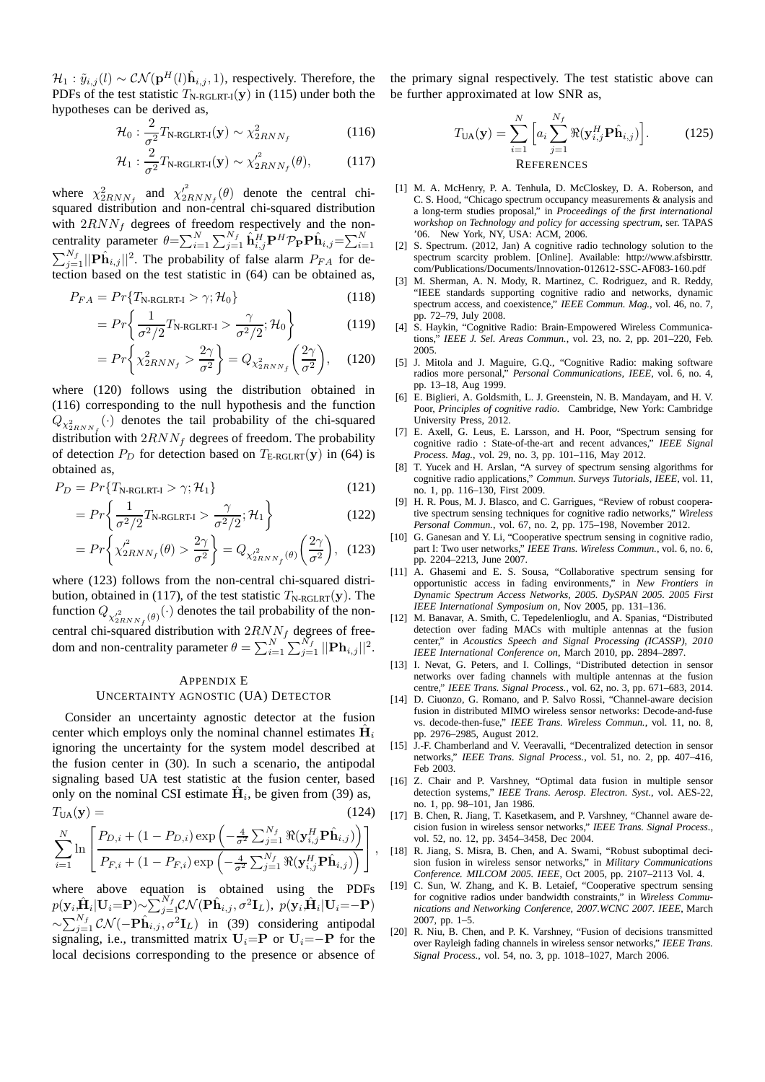$\mathcal{H}_1 : \tilde{y}_{i,j}(l) \sim \mathcal{CN}(\mathbf{p}^H(l)\hat{\mathbf{h}}_{i,j}, 1)$ , respectively. Therefore, the PDFs of the test statistic  $T_{\text{N-RGLRT-I}}(\mathbf{y})$  in (115) under both the hypotheses can be derived as,

$$
\mathcal{H}_0: \frac{2}{\sigma^2} T_{\text{N-RGLRT-I}}(\mathbf{y}) \sim \chi^2_{2RNN_f}
$$
 (116)

$$
\mathcal{H}_1: \frac{2}{\sigma^2} T_{\text{N-RGLRT-I}}(\mathbf{y}) \sim \chi^2_{2RNN_f}(\theta), \tag{117}
$$

where  $\chi^2_{2RNN_f}$  and  $\chi'^2_{2RNN_f}(\theta)$  denote the central chisquared distribution and non-central chi-squared distribution with  $2RNN_f$  degrees of freedom respectively and the noncentrality parameter  $\theta = \sum_{i=1}^{N} \sum_{j=1}^{N_f} \hat{\mathbf{h}}_{i,j}^H \mathbf{P}^H \mathcal{P}_{\mathbf{P}} \mathbf{P} \hat{\mathbf{h}}_{i,j} = \sum_{i=1}^{N}$ P  $\sum_{i=1}^{N_f} ||\mathbf{P} \hat{\mathbf{h}}_{i,j}||^2$ . The probability of false alarm  $P_{FA}$  for detection based on the test statistic in (64) can be obtained as,

$$
P_{FA} = Pr\{T_{\text{N-RGLRT-I}} > \gamma; \mathcal{H}_0\}
$$
\n(118)

$$
=Pr\left\{\frac{1}{\sigma^2/2}T_{\text{N-RGLRT-1}} > \frac{\gamma}{\sigma^2/2}; \mathcal{H}_0\right\} \tag{119}
$$

$$
=Pr\left\{\chi_{2RNN_f}^2 > \frac{2\gamma}{\sigma^2}\right\} = Q_{\chi_{2RNN_f}^2}\left(\frac{2\gamma}{\sigma^2}\right),\quad(120)
$$

where (120) follows using the distribution obtained in (116) corresponding to the null hypothesis and the function  $Q_{\chi^2_{2RNN_f}}(\cdot)$  denotes the tail probability of the chi-squared distribution with  $2RNN_f$  degrees of freedom. The probability of detection  $P_D$  for detection based on  $T_{\text{E-RGLRT}}(\mathbf{y})$  in (64) is obtained as,

$$
P_D = Pr\{T_{\text{N-RGLRT-I}} > \gamma; \mathcal{H}_1\} \tag{121}
$$

$$
= Pr\left\{\frac{1}{\sigma^2/2}T_{\text{N-RGLRT-I}} > \frac{\gamma}{\sigma^2/2}; \mathcal{H}_1\right\}
$$
(122)

$$
=Pr\left\{\chi_{2RNN_f}^2(\theta) > \frac{2\gamma}{\sigma^2}\right\} = Q_{\chi_{2RNN_f}^2(\theta)}\left(\frac{2\gamma}{\sigma^2}\right), (123)
$$

where (123) follows from the non-central chi-squared distribution, obtained in (117), of the test statistic  $T_{\text{N-RGLRT}}(\mathbf{y})$ . The function  $Q_{\chi^2_{2RNN_f}(\theta)}(\cdot)$  denotes the tail probability of the noncentral chi-squared distribution with  $2RNN_f$  degrees of freedom and non-centrality parameter  $\theta = \sum_{i=1}^{N} \sum_{j=1}^{N_f} ||\mathbf{Ph}_{i,j}||^2$ .

# APPENDIX E UNCERTAINTY AGNOSTIC (UA) DETECTOR

Consider an uncertainty agnostic detector at the fusion center which employs only the nominal channel estimates  $\hat{H}_i$ ignoring the uncertainty for the system model described at the fusion center in (30). In such a scenario, the antipodal signaling based UA test statistic at the fusion center, based only on the nominal CSI estimate  $\hat{H}_i$ , be given from (39) as,  $T_{\text{UA}}(\mathbf{y}) = (124)$ 

$$
\sum_{i=1}^{N} \ln \left[ \frac{P_{D,i} + (1 - P_{D,i}) \exp \left( -\frac{4}{\sigma^2} \sum_{j=1}^{N_f} \Re(\mathbf{y}_{i,j}^H \mathbf{P} \hat{\mathbf{h}}_{i,j}) \right)}{P_{F,i} + (1 - P_{F,i}) \exp \left( -\frac{4}{\sigma^2} \sum_{j=1}^{N_f} \Re(\mathbf{y}_{i,j}^H \mathbf{P} \hat{\mathbf{h}}_{i,j}) \right)} \right]
$$

,

where above equation is obtained using the PDFs  $p(\mathbf{y}_i | \hat{\mathbf{H}}_i | \mathbf{U}_i = \mathbf{P}) \sim \sum_{j=1}^{N_f} \mathcal{CN}(\mathbf{P}\hat{\mathbf{h}}_{i,j}, \sigma^2 \mathbf{I}_L), ~p(\mathbf{y}_i | \hat{\mathbf{H}}_i | \mathbf{U}_i = -\mathbf{P})$  $\sim \sum_{j=1}^{N_f} C \mathcal{N}(-\mathbf{P}\hat{\mathbf{h}}_{i,j}, \sigma^2 \mathbf{I}_L)$  in (39) considering antipodal signaling, i.e., transmitted matrix  $U_i=$ **P** or  $U_i=-$ **P** for the local decisions corresponding to the presence or absence of

the primary signal respectively. The test statistic above can be further approximated at low SNR as,

$$
T_{\text{UA}}(\mathbf{y}) = \sum_{i=1}^{N} \left[ a_i \sum_{j=1}^{N_f} \Re(\mathbf{y}_{i,j}^H \mathbf{P} \hat{\mathbf{h}}_{i,j}) \right].
$$
 (125)  
REFERENCES

- [1] M. A. McHenry, P. A. Tenhula, D. McCloskey, D. A. Roberson, and C. S. Hood, "Chicago spectrum occupancy measurements & analysis and a long-term studies proposal," in *Proceedings of the first international workshop on Technology and policy for accessing spectrum*, ser. TAPAS '06. New York, NY, USA: ACM, 2006.
- [2] S. Spectrum. (2012, Jan) A cognitive radio technology solution to the spectrum scarcity problem. [Online]. Available: http://www.afsbirsttr. com/Publications/Documents/Innovation-012612-SSC-AF083-160.pdf
- [3] M. Sherman, A. N. Mody, R. Martinez, C. Rodriguez, and R. Reddy, "IEEE standards supporting cognitive radio and networks, dynamic spectrum access, and coexistence," *IEEE Commun. Mag.*, vol. 46, no. 7, pp. 72–79, July 2008.
- [4] S. Haykin, "Cognitive Radio: Brain-Empowered Wireless Communications," *IEEE J. Sel. Areas Commun.*, vol. 23, no. 2, pp. 201–220, Feb. 2005.
- [5] J. Mitola and J. Maguire, G.Q., "Cognitive Radio: making software radios more personal," *Personal Communications, IEEE*, vol. 6, no. 4, pp. 13–18, Aug 1999.
- [6] E. Biglieri, A. Goldsmith, L. J. Greenstein, N. B. Mandayam, and H. V. Poor, *Principles of cognitive radio*. Cambridge, New York: Cambridge University Press, 2012.
- E. Axell, G. Leus, E. Larsson, and H. Poor, "Spectrum sensing for cognitive radio : State-of-the-art and recent advances," *IEEE Signal Process. Mag.*, vol. 29, no. 3, pp. 101–116, May 2012.
- [8] T. Yucek and H. Arslan, "A survey of spectrum sensing algorithms for cognitive radio applications," *Commun. Surveys Tutorials, IEEE*, vol. 11, no. 1, pp. 116–130, First 2009.
- [9] H. R. Pous, M. J. Blasco, and C. Garrigues, "Review of robust cooperative spectrum sensing techniques for cognitive radio networks," *Wireless Personal Commun.*, vol. 67, no. 2, pp. 175–198, November 2012.
- [10] G. Ganesan and Y. Li, "Cooperative spectrum sensing in cognitive radio, part I: Two user networks," *IEEE Trans. Wireless Commun.*, vol. 6, no. 6, pp. 2204–2213, June 2007.
- [11] A. Ghasemi and E. S. Sousa, "Collaborative spectrum sensing for opportunistic access in fading environments," in *New Frontiers in Dynamic Spectrum Access Networks, 2005. DySPAN 2005. 2005 First IEEE International Symposium on*, Nov 2005, pp. 131–136.
- [12] M. Banavar, A. Smith, C. Tepedelenlioglu, and A. Spanias, "Distributed detection over fading MACs with multiple antennas at the fusion center," in *Acoustics Speech and Signal Processing (ICASSP), 2010 IEEE International Conference on*, March 2010, pp. 2894–2897.
- [13] I. Nevat, G. Peters, and I. Collings, "Distributed detection in sensor networks over fading channels with multiple antennas at the fusion centre," *IEEE Trans. Signal Process.*, vol. 62, no. 3, pp. 671–683, 2014.
- [14] D. Ciuonzo, G. Romano, and P. Salvo Rossi, "Channel-aware decision fusion in distributed MIMO wireless sensor networks: Decode-and-fuse vs. decode-then-fuse," *IEEE Trans. Wireless Commun.*, vol. 11, no. 8, pp. 2976–2985, August 2012.
- [15] J.-F. Chamberland and V. Veeravalli, "Decentralized detection in sensor networks," *IEEE Trans. Signal Process.*, vol. 51, no. 2, pp. 407–416, Feb 2003.
- [16] Z. Chair and P. Varshney, "Optimal data fusion in multiple sensor detection systems," *IEEE Trans. Aerosp. Electron. Syst.*, vol. AES-22, no. 1, pp. 98–101, Jan 1986.
- [17] B. Chen, R. Jiang, T. Kasetkasem, and P. Varshney, "Channel aware decision fusion in wireless sensor networks," *IEEE Trans. Signal Process.*, vol. 52, no. 12, pp. 3454–3458, Dec 2004.
- [18] R. Jiang, S. Misra, B. Chen, and A. Swami, "Robust suboptimal decision fusion in wireless sensor networks," in *Military Communications Conference. MILCOM 2005. IEEE*, Oct 2005, pp. 2107–2113 Vol. 4.
- [19] C. Sun, W. Zhang, and K. B. Letaief, "Cooperative spectrum sensing for cognitive radios under bandwidth constraints," in *Wireless Communications and Networking Conference, 2007.WCNC 2007. IEEE*, March 2007, pp. 1–5.
- [20] R. Niu, B. Chen, and P. K. Varshney, "Fusion of decisions transmitted over Rayleigh fading channels in wireless sensor networks," *IEEE Trans. Signal Process.*, vol. 54, no. 3, pp. 1018–1027, March 2006.